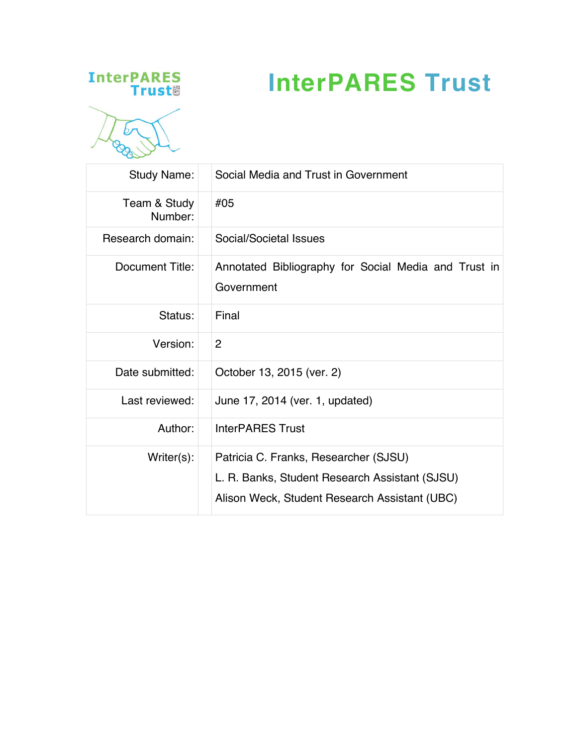## **InterPARES**<br>Trust



## **InterPARES Trust**

| <b>Study Name:</b>      | Social Media and Trust in Government                                                                                                     |  |  |
|-------------------------|------------------------------------------------------------------------------------------------------------------------------------------|--|--|
| Team & Study<br>Number: | #05                                                                                                                                      |  |  |
| Research domain:        | Social/Societal Issues                                                                                                                   |  |  |
| Document Title:         | Annotated Bibliography for Social Media and Trust in<br>Government                                                                       |  |  |
| Status:                 | Final                                                                                                                                    |  |  |
| Version:                | $\overline{2}$                                                                                                                           |  |  |
| Date submitted:         | October 13, 2015 (ver. 2)                                                                                                                |  |  |
| Last reviewed:          | June 17, 2014 (ver. 1, updated)                                                                                                          |  |  |
| Author:                 | <b>InterPARES Trust</b>                                                                                                                  |  |  |
| $Writer(s)$ :           | Patricia C. Franks, Researcher (SJSU)<br>L. R. Banks, Student Research Assistant (SJSU)<br>Alison Weck, Student Research Assistant (UBC) |  |  |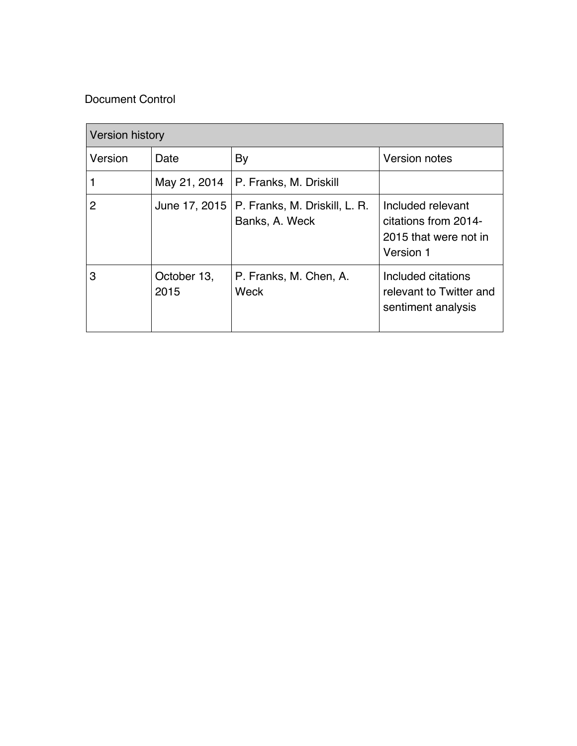## Document Control

| <b>Version history</b> |                     |                                                 |                                                                                 |
|------------------------|---------------------|-------------------------------------------------|---------------------------------------------------------------------------------|
| Version                | Date                | By                                              | <b>Version notes</b>                                                            |
|                        | May 21, 2014        | P. Franks, M. Driskill                          |                                                                                 |
| 2                      | June 17, 2015       | P. Franks, M. Driskill, L. R.<br>Banks, A. Weck | Included relevant<br>citations from 2014-<br>2015 that were not in<br>Version 1 |
| 3                      | October 13,<br>2015 | P. Franks, M. Chen, A.<br>Weck                  | Included citations<br>relevant to Twitter and<br>sentiment analysis             |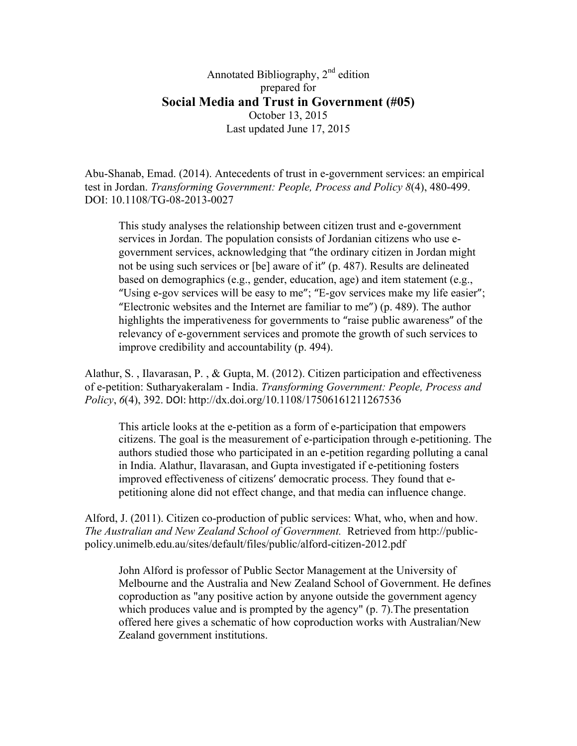Annotated Bibliography, 2<sup>nd</sup> edition prepared for **Social Media and Trust in Government (#05)** October 13, 2015 Last updated June 17, 2015

Abu-Shanab, Emad. (2014). Antecedents of trust in e-government services: an empirical test in Jordan. *Transforming Government: People, Process and Policy 8*(4), 480-499. DOI: 10.1108/TG-08-2013-0027

This study analyses the relationship between citizen trust and e-government services in Jordan. The population consists of Jordanian citizens who use egovernment services, acknowledging that "the ordinary citizen in Jordan might not be using such services or [be] aware of it" (p. 487). Results are delineated based on demographics (e.g., gender, education, age) and item statement (e.g., "Using e-gov services will be easy to me"; "E-gov services make my life easier"; "Electronic websites and the Internet are familiar to me") (p. 489). The author highlights the imperativeness for governments to "raise public awareness" of the relevancy of e-government services and promote the growth of such services to improve credibility and accountability (p. 494).

Alathur, S. , Ilavarasan, P. , & Gupta, M. (2012). Citizen participation and effectiveness of e-petition: Sutharyakeralam - India. *Transforming Government: People, Process and Policy*, 6(4), 392. DOI: http://dx.doi.org/10.1108/17506161211267536

This article looks at the e-petition as a form of e-participation that empowers citizens. The goal is the measurement of e-participation through e-petitioning. The authors studied those who participated in an e-petition regarding polluting a canal in India. Alathur, Ilavarasan, and Gupta investigated if e-petitioning fosters improved effectiveness of citizens' democratic process. They found that epetitioning alone did not effect change, and that media can influence change.

Alford, J. (2011). Citizen co-production of public services: What, who, when and how. *The Australian and New Zealand School of Government.* Retrieved from http://publicpolicy.unimelb.edu.au/sites/default/files/public/alford-citizen-2012.pdf

John Alford is professor of Public Sector Management at the University of Melbourne and the Australia and New Zealand School of Government. He defines coproduction as "any positive action by anyone outside the government agency which produces value and is prompted by the agency" (p. 7). The presentation offered here gives a schematic of how coproduction works with Australian/New Zealand government institutions.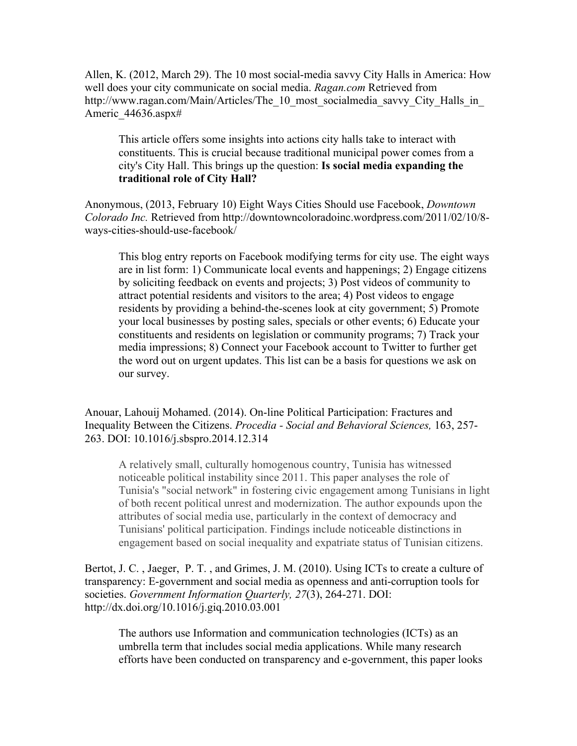Allen, K. (2012, March 29). The 10 most social-media savvy City Halls in America: How well does your city communicate on social media. *Ragan.com* Retrieved from http://www.ragan.com/Main/Articles/The 10 most socialmedia savvy City Halls in Americ 44636.aspx#

This article offers some insights into actions city halls take to interact with constituents. This is crucial because traditional municipal power comes from a city's City Hall. This brings up the question: **Is social media expanding the traditional role of City Hall?**

Anonymous, (2013, February 10) Eight Ways Cities Should use Facebook, *Downtown Colorado Inc.* Retrieved from http://downtowncoloradoinc.wordpress.com/2011/02/10/8 ways-cities-should-use-facebook/

This blog entry reports on Facebook modifying terms for city use. The eight ways are in list form: 1) Communicate local events and happenings; 2) Engage citizens by soliciting feedback on events and projects; 3) Post videos of community to attract potential residents and visitors to the area; 4) Post videos to engage residents by providing a behind-the-scenes look at city government; 5) Promote your local businesses by posting sales, specials or other events; 6) Educate your constituents and residents on legislation or community programs; 7) Track your media impressions; 8) Connect your Facebook account to Twitter to further get the word out on urgent updates. This list can be a basis for questions we ask on our survey.

Anouar, Lahouij Mohamed. (2014). On-line Political Participation: Fractures and Inequality Between the Citizens. *Procedia - Social and Behavioral Sciences,* 163, 257- 263. DOI: 10.1016/j.sbspro.2014.12.314

A relatively small, culturally homogenous country, Tunisia has witnessed noticeable political instability since 2011. This paper analyses the role of Tunisia's "social network" in fostering civic engagement among Tunisians in light of both recent political unrest and modernization. The author expounds upon the attributes of social media use, particularly in the context of democracy and Tunisians' political participation. Findings include noticeable distinctions in engagement based on social inequality and expatriate status of Tunisian citizens.

Bertot, J. C. , Jaeger, P. T. , and Grimes, J. M. (2010). Using ICTs to create a culture of transparency: E-government and social media as openness and anti-corruption tools for societies. *Government Information Quarterly, 27*(3), 264-271. DOI: http://dx.doi.org/10.1016/j.giq.2010.03.001

The authors use Information and communication technologies (ICTs) as an umbrella term that includes social media applications. While many research efforts have been conducted on transparency and e-government, this paper looks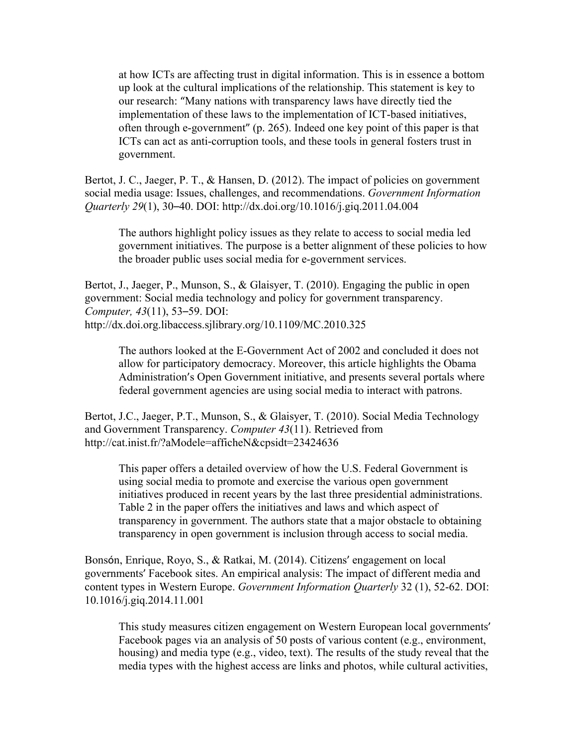at how ICTs are affecting trust in digital information. This is in essence a bottom up look at the cultural implications of the relationship. This statement is key to our research: "Many nations with transparency laws have directly tied the implementation of these laws to the implementation of ICT-based initiatives, often through e-government"  $(p. 265)$ . Indeed one key point of this paper is that ICTs can act as anti-corruption tools, and these tools in general fosters trust in government.

Bertot, J. C., Jaeger, P. T., & Hansen, D. (2012). The impact of policies on government social media usage: Issues, challenges, and recommendations. *Government Information Quarterly 29*(1), 30–40. DOI: http://dx.doi.org/10.1016/j.giq.2011.04.004

The authors highlight policy issues as they relate to access to social media led government initiatives. The purpose is a better alignment of these policies to how the broader public uses social media for e-government services.

Bertot, J., Jaeger, P., Munson, S., & Glaisyer, T. (2010). Engaging the public in open government: Social media technology and policy for government transparency. *Computer, 43*(11), 53–59. DOI: http://dx.doi.org.libaccess.sjlibrary.org/10.1109/MC.2010.325

The authors looked at the E-Government Act of 2002 and concluded it does not allow for participatory democracy. Moreover, this article highlights the Obama Administration's Open Government initiative, and presents several portals where federal government agencies are using social media to interact with patrons.

Bertot, J.C., Jaeger, P.T., Munson, S., & Glaisyer, T. (2010). Social Media Technology and Government Transparency. *Computer 43*(11). Retrieved from http://cat.inist.fr/?aModele=afficheN&cpsidt=23424636

This paper offers a detailed overview of how the U.S. Federal Government is using social media to promote and exercise the various open government initiatives produced in recent years by the last three presidential administrations. Table 2 in the paper offers the initiatives and laws and which aspect of transparency in government. The authors state that a major obstacle to obtaining transparency in open government is inclusion through access to social media.

Bonsón, Enrique, Royo, S., & Ratkai, M. (2014). Citizens' engagement on local governments' Facebook sites. An empirical analysis: The impact of different media and content types in Western Europe. *Government Information Quarterly* 32 (1), 52-62. DOI: 10.1016/j.giq.2014.11.001

This study measures citizen engagement on Western European local governments' Facebook pages via an analysis of 50 posts of various content (e.g., environment, housing) and media type (e.g., video, text). The results of the study reveal that the media types with the highest access are links and photos, while cultural activities,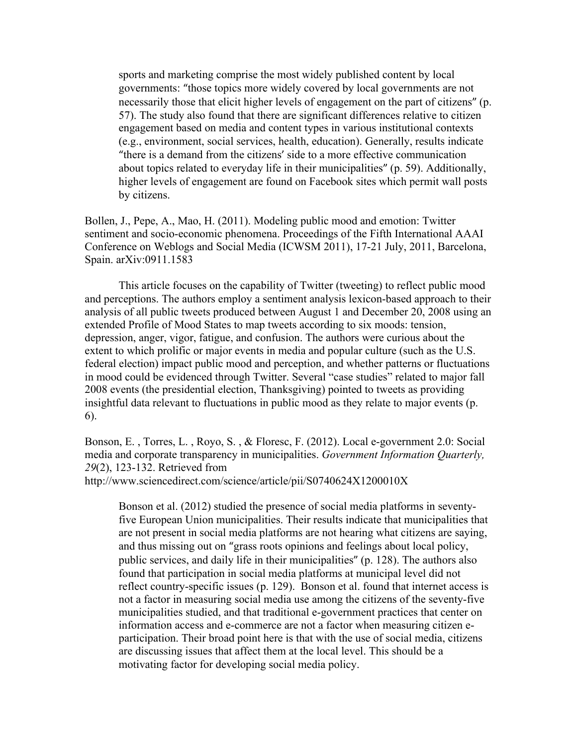sports and marketing comprise the most widely published content by local governments: "those topics more widely covered by local governments are not necessarily those that elicit higher levels of engagement on the part of citizens" (p. 57). The study also found that there are significant differences relative to citizen engagement based on media and content types in various institutional contexts (e.g., environment, social services, health, education). Generally, results indicate "there is a demand from the citizens' side to a more effective communication about topics related to everyday life in their municipalities" (p. 59). Additionally, higher levels of engagement are found on Facebook sites which permit wall posts by citizens.

Bollen, J., Pepe, A., Mao, H. (2011). Modeling public mood and emotion: Twitter sentiment and socio-economic phenomena. Proceedings of the Fifth International AAAI Conference on Weblogs and Social Media (ICWSM 2011), 17-21 July, 2011, Barcelona, Spain. arXiv:0911.1583

This article focuses on the capability of Twitter (tweeting) to reflect public mood and perceptions. The authors employ a sentiment analysis lexicon-based approach to their analysis of all public tweets produced between August 1 and December 20, 2008 using an extended Profile of Mood States to map tweets according to six moods: tension, depression, anger, vigor, fatigue, and confusion. The authors were curious about the extent to which prolific or major events in media and popular culture (such as the U.S. federal election) impact public mood and perception, and whether patterns or fluctuations in mood could be evidenced through Twitter. Several "case studies" related to major fall 2008 events (the presidential election, Thanksgiving) pointed to tweets as providing insightful data relevant to fluctuations in public mood as they relate to major events (p. 6).

Bonson, E. , Torres, L. , Royo, S. , & Floresc, F. (2012). Local e-government 2.0: Social media and corporate transparency in municipalities. *Government Information Quarterly, 29*(2), 123-132. Retrieved from

http://www.sciencedirect.com/science/article/pii/S0740624X1200010X

Bonson et al. (2012) studied the presence of social media platforms in seventyfive European Union municipalities. Their results indicate that municipalities that are not present in social media platforms are not hearing what citizens are saying, and thus missing out on "grass roots opinions and feelings about local policy, public services, and daily life in their municipalities" (p. 128). The authors also found that participation in social media platforms at municipal level did not reflect country-specific issues (p. 129). Bonson et al. found that internet access is not a factor in measuring social media use among the citizens of the seventy-five municipalities studied, and that traditional e-government practices that center on information access and e-commerce are not a factor when measuring citizen eparticipation. Their broad point here is that with the use of social media, citizens are discussing issues that affect them at the local level. This should be a motivating factor for developing social media policy.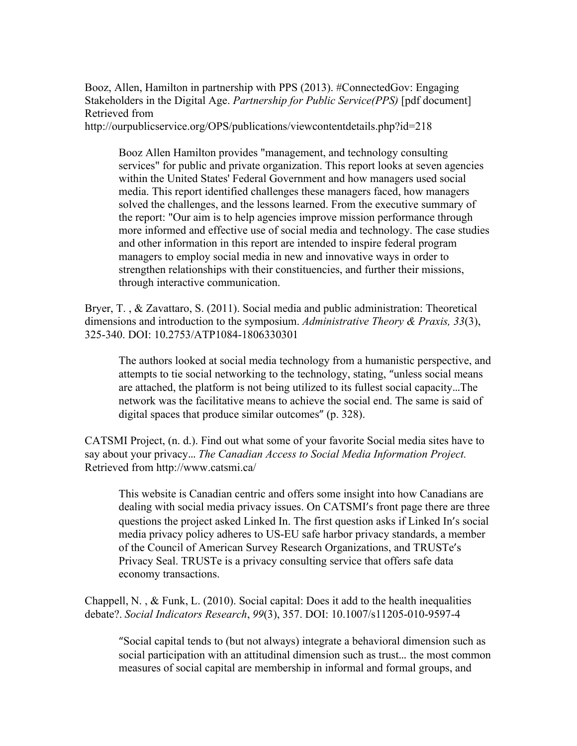Booz, Allen, Hamilton in partnership with PPS (2013). #ConnectedGov: Engaging Stakeholders in the Digital Age. *Partnership for Public Service(PPS)* [pdf document] Retrieved from

http://ourpublicservice.org/OPS/publications/viewcontentdetails.php?id=218

Booz Allen Hamilton provides "management, and technology consulting services" for public and private organization. This report looks at seven agencies within the United States' Federal Government and how managers used social media. This report identified challenges these managers faced, how managers solved the challenges, and the lessons learned. From the executive summary of the report: "Our aim is to help agencies improve mission performance through more informed and effective use of social media and technology. The case studies and other information in this report are intended to inspire federal program managers to employ social media in new and innovative ways in order to strengthen relationships with their constituencies, and further their missions, through interactive communication.

Bryer, T. , & Zavattaro, S. (2011). Social media and public administration: Theoretical dimensions and introduction to the symposium. *Administrative Theory & Praxis, 33*(3), 325-340. DOI: 10.2753/ATP1084-1806330301

The authors looked at social media technology from a humanistic perspective, and attempts to tie social networking to the technology, stating, "unless social means are attached, the platform is not being utilized to its fullest social capacity…The network was the facilitative means to achieve the social end. The same is said of digital spaces that produce similar outcomes" (p. 328).

CATSMI Project, (n. d.). Find out what some of your favorite Social media sites have to say about your privacy... The Canadian Access to Social Media Information Project. Retrieved from http://www.catsmi.ca/

This website is Canadian centric and offers some insight into how Canadians are dealing with social media privacy issues. On CATSMI's front page there are three questions the project asked Linked In. The first question asks if Linked In's social media privacy policy adheres to US-EU safe harbor privacy standards, a member of the Council of American Survey Research Organizations, and TRUSTe's Privacy Seal. TRUSTe is a privacy consulting service that offers safe data economy transactions.

Chappell, N. , & Funk, L. (2010). Social capital: Does it add to the health inequalities debate?. *Social Indicators Research*, *99*(3), 357. DOI: 10.1007/s11205-010-9597-4

"Social capital tends to (but not always) integrate a behavioral dimension such as social participation with an attitudinal dimension such as trust… the most common measures of social capital are membership in informal and formal groups, and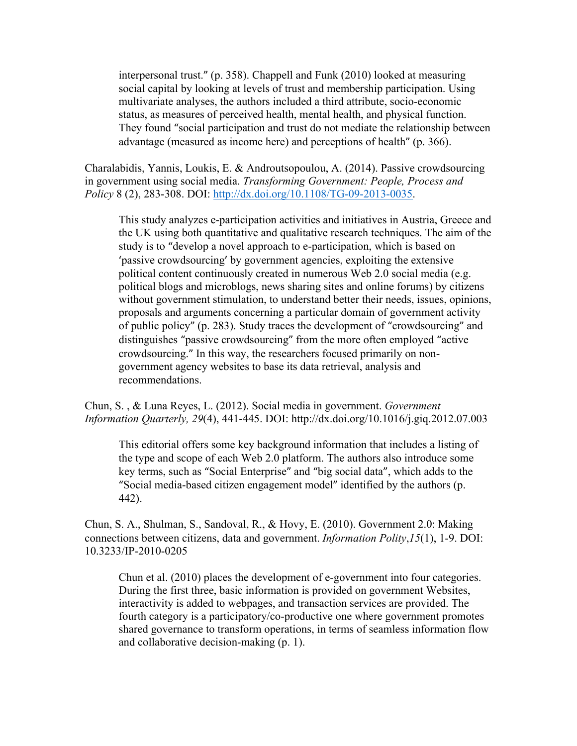interpersonal trust." (p. 358). Chappell and Funk (2010) looked at measuring social capital by looking at levels of trust and membership participation. Using multivariate analyses, the authors included a third attribute, socio-economic status, as measures of perceived health, mental health, and physical function. They found "social participation and trust do not mediate the relationship between advantage (measured as income here) and perceptions of health" (p. 366).

Charalabidis, Yannis, Loukis, E. & Androutsopoulou, A. (2014). Passive crowdsourcing in government using social media. *Transforming Government: People, Process and Policy* 8 (2), 283-308. DOI: http://dx.doi.org/10.1108/TG-09-2013-0035.

This study analyzes e-participation activities and initiatives in Austria, Greece and the UK using both quantitative and qualitative research techniques. The aim of the study is to "develop a novel approach to e-participation, which is based on 'passive crowdsourcing' by government agencies, exploiting the extensive political content continuously created in numerous Web 2.0 social media (e.g. political blogs and microblogs, news sharing sites and online forums) by citizens without government stimulation, to understand better their needs, issues, opinions, proposals and arguments concerning a particular domain of government activity of public policy" (p. 283). Study traces the development of "crowdsourcing" and distinguishes "passive crowdsourcing" from the more often employed "active" crowdsourcing." In this way, the researchers focused primarily on nongovernment agency websites to base its data retrieval, analysis and recommendations.

Chun, S. , & Luna Reyes, L. (2012). Social media in government. *Government Information Quarterly, 29*(4), 441-445. DOI: http://dx.doi.org/10.1016/j.giq.2012.07.003

This editorial offers some key background information that includes a listing of the type and scope of each Web 2.0 platform. The authors also introduce some key terms, such as "Social Enterprise" and "big social data", which adds to the "Social media-based citizen engagement model" identified by the authors (p. 442).

Chun, S. A., Shulman, S., Sandoval, R., & Hovy, E. (2010). Government 2.0: Making connections between citizens, data and government. *Information Polity*,*15*(1), 1-9. DOI: 10.3233/IP-2010-0205

Chun et al. (2010) places the development of e-government into four categories. During the first three, basic information is provided on government Websites, interactivity is added to webpages, and transaction services are provided. The fourth category is a participatory/co-productive one where government promotes shared governance to transform operations, in terms of seamless information flow and collaborative decision-making (p. 1).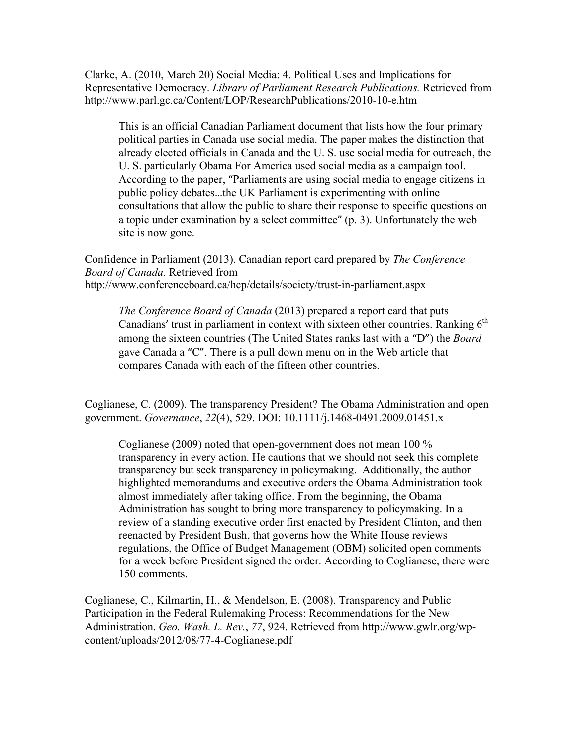Clarke, A. (2010, March 20) Social Media: 4. Political Uses and Implications for Representative Democracy. *Library of Parliament Research Publications.* Retrieved from http://www.parl.gc.ca/Content/LOP/ResearchPublications/2010-10-e.htm

This is an official Canadian Parliament document that lists how the four primary political parties in Canada use social media. The paper makes the distinction that already elected officials in Canada and the U. S. use social media for outreach, the U. S. particularly Obama For America used social media as a campaign tool. According to the paper, "Parliaments are using social media to engage citizens in public policy debates…the UK Parliament is experimenting with online consultations that allow the public to share their response to specific questions on a topic under examination by a select committee" (p. 3). Unfortunately the web site is now gone.

Confidence in Parliament (2013). Canadian report card prepared by *The Conference Board of Canada.* Retrieved from http://www.conferenceboard.ca/hcp/details/society/trust-in-parliament.aspx

*The Conference Board of Canada* (2013) prepared a report card that puts Canadians' trust in parliament in context with sixteen other countries. Ranking  $6<sup>th</sup>$ among the sixteen countries (The United States ranks last with a "D") the *Board*  gave Canada a "C". There is a pull down menu on in the Web article that compares Canada with each of the fifteen other countries.

Coglianese, C. (2009). The transparency President? The Obama Administration and open government. *Governance*, *22*(4), 529. DOI: 10.1111/j.1468-0491.2009.01451.x

Coglianese (2009) noted that open-government does not mean 100 % transparency in every action. He cautions that we should not seek this complete transparency but seek transparency in policymaking. Additionally, the author highlighted memorandums and executive orders the Obama Administration took almost immediately after taking office. From the beginning, the Obama Administration has sought to bring more transparency to policymaking. In a review of a standing executive order first enacted by President Clinton, and then reenacted by President Bush, that governs how the White House reviews regulations, the Office of Budget Management (OBM) solicited open comments for a week before President signed the order. According to Coglianese, there were 150 comments.

Coglianese, C., Kilmartin, H., & Mendelson, E. (2008). Transparency and Public Participation in the Federal Rulemaking Process: Recommendations for the New Administration. *Geo. Wash. L. Rev.*, *77*, 924. Retrieved from http://www.gwlr.org/wpcontent/uploads/2012/08/77-4-Coglianese.pdf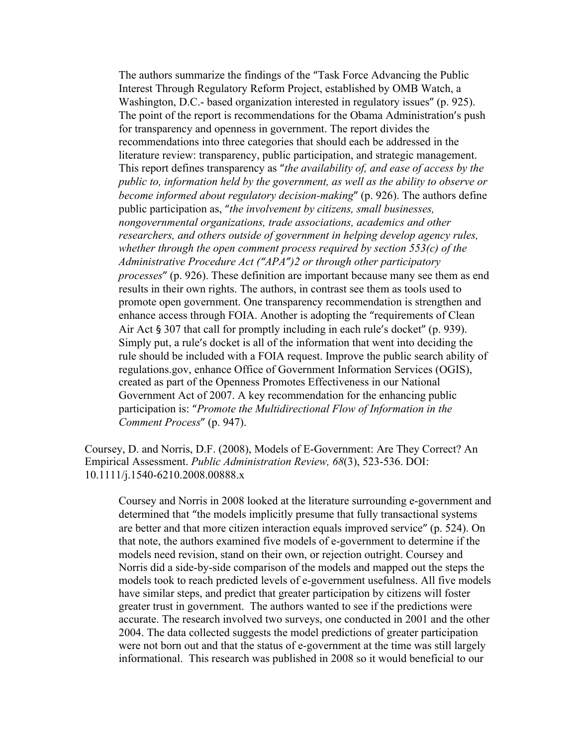The authors summarize the findings of the "Task Force Advancing the Public Interest Through Regulatory Reform Project, established by OMB Watch, a Washington, D.C.- based organization interested in regulatory issues" (p. 925). The point of the report is recommendations for the Obama Administration's push for transparency and openness in government. The report divides the recommendations into three categories that should each be addressed in the literature review: transparency, public participation, and strategic management. This report defines transparency as "*the availability of, and ease of access by the public to, information held by the government, as well as the ability to observe or become informed about regulatory decision-making*" (p. 926). The authors define public participation as, "*the involvement by citizens, small businesses, nongovernmental organizations, trade associations, academics and other researchers, and others outside of government in helping develop agency rules, whether through the open comment process required by section 553(c) of the Administrative Procedure Act ("APA")2 or through other participatory processes*" (p. 926). These definition are important because many see them as end results in their own rights. The authors, in contrast see them as tools used to promote open government. One transparency recommendation is strengthen and enhance access through FOIA. Another is adopting the "requirements of Clean Air Act  $\S 307$  that call for promptly including in each rule's docket" (p. 939). Simply put, a rule's docket is all of the information that went into deciding the rule should be included with a FOIA request. Improve the public search ability of regulations.gov, enhance Office of Government Information Services (OGIS), created as part of the Openness Promotes Effectiveness in our National Government Act of 2007. A key recommendation for the enhancing public participation is: "*Promote the Multidirectional Flow of Information in the Comment Process*" (p. 947).

Coursey, D. and Norris, D.F. (2008), Models of E-Government: Are They Correct? An Empirical Assessment. *Public Administration Review, 68*(3), 523-536. DOI: 10.1111/j.1540-6210.2008.00888.x

Coursey and Norris in 2008 looked at the literature surrounding e-government and determined that "the models implicitly presume that fully transactional systems are better and that more citizen interaction equals improved service" (p. 524). On that note, the authors examined five models of e-government to determine if the models need revision, stand on their own, or rejection outright. Coursey and Norris did a side-by-side comparison of the models and mapped out the steps the models took to reach predicted levels of e-government usefulness. All five models have similar steps, and predict that greater participation by citizens will foster greater trust in government. The authors wanted to see if the predictions were accurate. The research involved two surveys, one conducted in 2001 and the other 2004. The data collected suggests the model predictions of greater participation were not born out and that the status of e-government at the time was still largely informational. This research was published in 2008 so it would beneficial to our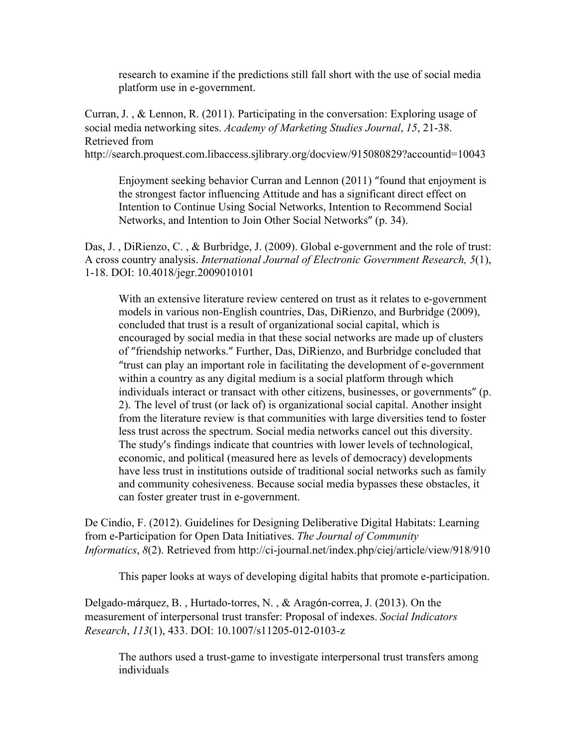research to examine if the predictions still fall short with the use of social media platform use in e-government.

Curran, J. , & Lennon, R. (2011). Participating in the conversation: Exploring usage of social media networking sites. *Academy of Marketing Studies Journal*, *15*, 21-38. Retrieved from

http://search.proquest.com.libaccess.sjlibrary.org/docview/915080829?accountid=10043

Enjoyment seeking behavior Curran and Lennon (2011) "found that enjoyment is the strongest factor influencing Attitude and has a significant direct effect on Intention to Continue Using Social Networks, Intention to Recommend Social Networks, and Intention to Join Other Social Networks" (p. 34).

Das, J., DiRienzo, C., & Burbridge, J. (2009). Global e-government and the role of trust: A cross country analysis. *International Journal of Electronic Government Research, 5*(1), 1-18. DOI: 10.4018/jegr.2009010101

With an extensive literature review centered on trust as it relates to e-government models in various non-English countries, Das, DiRienzo, and Burbridge (2009), concluded that trust is a result of organizational social capital, which is encouraged by social media in that these social networks are made up of clusters of "friendship networks." Further, Das, DiRienzo, and Burbridge concluded that "trust can play an important role in facilitating the development of e-government within a country as any digital medium is a social platform through which individuals interact or transact with other citizens, businesses, or governments" (p. 2). The level of trust (or lack of) is organizational social capital. Another insight from the literature review is that communities with large diversities tend to foster less trust across the spectrum. Social media networks cancel out this diversity. The study's findings indicate that countries with lower levels of technological, economic, and political (measured here as levels of democracy) developments have less trust in institutions outside of traditional social networks such as family and community cohesiveness. Because social media bypasses these obstacles, it can foster greater trust in e-government.

De Cindio, F. (2012). Guidelines for Designing Deliberative Digital Habitats: Learning from e-Participation for Open Data Initiatives. *The Journal of Community Informatics*, *8*(2). Retrieved from http://ci-journal.net/index.php/ciej/article/view/918/910

This paper looks at ways of developing digital habits that promote e-participation.

Delgado-márquez, B. , Hurtado-torres, N. , & Aragón-correa, J. (2013). On the measurement of interpersonal trust transfer: Proposal of indexes. *Social Indicators Research*, *113*(1), 433. DOI: 10.1007/s11205-012-0103-z

The authors used a trust-game to investigate interpersonal trust transfers among individuals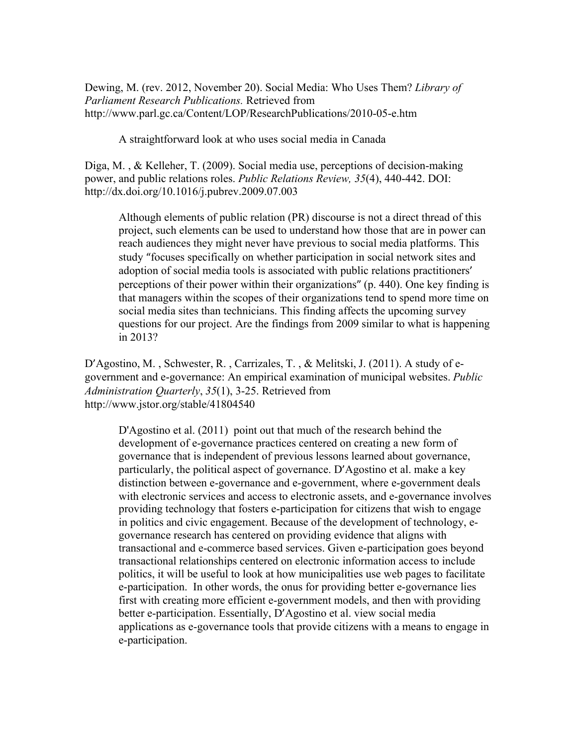Dewing, M. (rev. 2012, November 20). Social Media: Who Uses Them? *Library of Parliament Research Publications.* Retrieved from http://www.parl.gc.ca/Content/LOP/ResearchPublications/2010-05-e.htm

A straightforward look at who uses social media in Canada

Diga, M. , & Kelleher, T. (2009). Social media use, perceptions of decision-making power, and public relations roles. *Public Relations Review, 35*(4), 440-442. DOI: http://dx.doi.org/10.1016/j.pubrev.2009.07.003

Although elements of public relation (PR) discourse is not a direct thread of this project, such elements can be used to understand how those that are in power can reach audiences they might never have previous to social media platforms. This study "focuses specifically on whether participation in social network sites and adoption of social media tools is associated with public relations practitioners' perceptions of their power within their organizations" (p. 440). One key finding is that managers within the scopes of their organizations tend to spend more time on social media sites than technicians. This finding affects the upcoming survey questions for our project. Are the findings from 2009 similar to what is happening in 2013?

D'Agostino, M. , Schwester, R. , Carrizales, T. , & Melitski, J. (2011). A study of egovernment and e-governance: An empirical examination of municipal websites. *Public Administration Quarterly*, *35*(1), 3-25. Retrieved from http://www.jstor.org/stable/41804540

D'Agostino et al. (2011) point out that much of the research behind the development of e-governance practices centered on creating a new form of governance that is independent of previous lessons learned about governance, particularly, the political aspect of governance. D'Agostino et al. make a key distinction between e-governance and e-government, where e-government deals with electronic services and access to electronic assets, and e-governance involves providing technology that fosters e-participation for citizens that wish to engage in politics and civic engagement. Because of the development of technology, egovernance research has centered on providing evidence that aligns with transactional and e-commerce based services. Given e-participation goes beyond transactional relationships centered on electronic information access to include politics, it will be useful to look at how municipalities use web pages to facilitate e-participation. In other words, the onus for providing better e-governance lies first with creating more efficient e-government models, and then with providing better e-participation. Essentially, D'Agostino et al. view social media applications as e-governance tools that provide citizens with a means to engage in e-participation.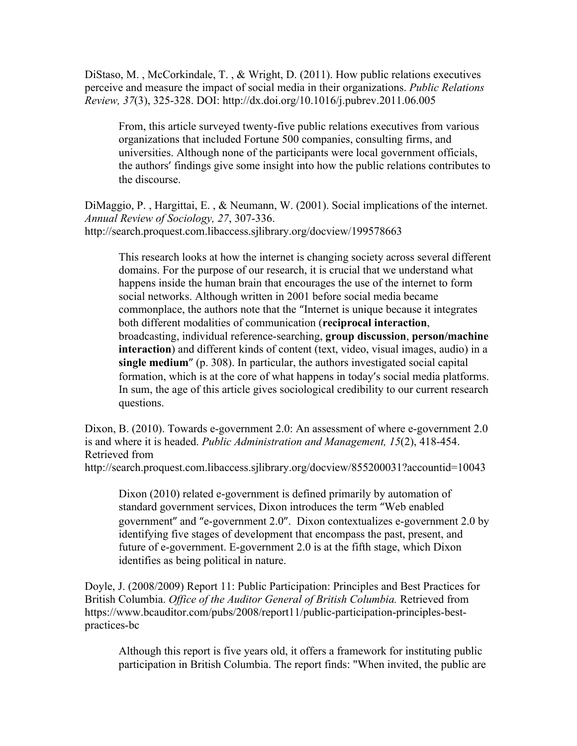DiStaso, M. , McCorkindale, T. , & Wright, D. (2011). How public relations executives perceive and measure the impact of social media in their organizations. *Public Relations Review, 37*(3), 325-328. DOI: http://dx.doi.org/10.1016/j.pubrev.2011.06.005

From, this article surveyed twenty-five public relations executives from various organizations that included Fortune 500 companies, consulting firms, and universities. Although none of the participants were local government officials, the authors' findings give some insight into how the public relations contributes to the discourse.

DiMaggio, P. , Hargittai, E. , & Neumann, W. (2001). Social implications of the internet. *Annual Review of Sociology, 27*, 307-336. http://search.proquest.com.libaccess.sjlibrary.org/docview/199578663

This research looks at how the internet is changing society across several different domains. For the purpose of our research, it is crucial that we understand what happens inside the human brain that encourages the use of the internet to form social networks. Although written in 2001 before social media became commonplace, the authors note that the "Internet is unique because it integrates both different modalities of communication (**reciprocal interaction**, broadcasting, individual reference-searching, **group discussion**, **person/machine interaction**) and different kinds of content (text, video, visual images, audio) in a **single medium**" (p. 308). In particular, the authors investigated social capital formation, which is at the core of what happens in today's social media platforms. In sum, the age of this article gives sociological credibility to our current research questions.

Dixon, B. (2010). Towards e-government 2.0: An assessment of where e-government 2.0 is and where it is headed. *Public Administration and Management, 15*(2), 418-454. Retrieved from

http://search.proquest.com.libaccess.sjlibrary.org/docview/855200031?accountid=10043

Dixon (2010) related e-government is defined primarily by automation of standard government services, Dixon introduces the term "Web enabled government" and "e-government 2.0". Dixon contextualizes e-government 2.0 by identifying five stages of development that encompass the past, present, and future of e-government. E-government 2.0 is at the fifth stage, which Dixon identifies as being political in nature.

Doyle, J. (2008/2009) Report 11: Public Participation: Principles and Best Practices for British Columbia. *Office of the Auditor General of British Columbia.* Retrieved from https://www.bcauditor.com/pubs/2008/report11/public-participation-principles-bestpractices-bc

Although this report is five years old, it offers a framework for instituting public participation in British Columbia. The report finds: "When invited, the public are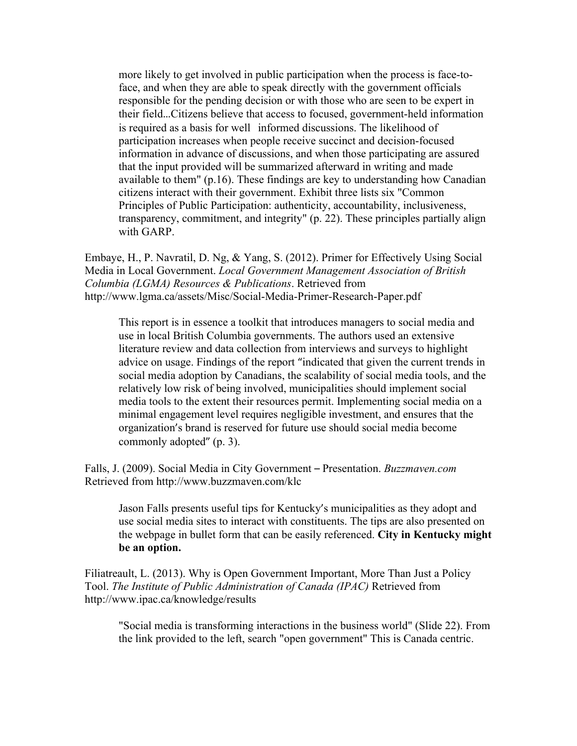more likely to get involved in public participation when the process is face-toface, and when they are able to speak directly with the government officials responsible for the pending decision or with those who are seen to be expert in their field…Citizens believe that access to focused, government-held information is required as a basis for well informed discussions. The likelihood of participation increases when people receive succinct and decision-focused information in advance of discussions, and when those participating are assured that the input provided will be summarized afterward in writing and made available to them" (p.16). These findings are key to understanding how Canadian citizens interact with their government. Exhibit three lists six "Common Principles of Public Participation: authenticity, accountability, inclusiveness, transparency, commitment, and integrity" (p. 22). These principles partially align with GARP.

Embaye, H., P. Navratil, D. Ng, & Yang, S. (2012). Primer for Effectively Using Social Media in Local Government. *Local Government Management Association of British Columbia (LGMA) Resources & Publications*. Retrieved from http://www.lgma.ca/assets/Misc/Social-Media-Primer-Research-Paper.pdf

This report is in essence a toolkit that introduces managers to social media and use in local British Columbia governments. The authors used an extensive literature review and data collection from interviews and surveys to highlight advice on usage. Findings of the report "indicated that given the current trends in social media adoption by Canadians, the scalability of social media tools, and the relatively low risk of being involved, municipalities should implement social media tools to the extent their resources permit. Implementing social media on a minimal engagement level requires negligible investment, and ensures that the organization's brand is reserved for future use should social media become commonly adopted" (p. 3).

Falls, J. (2009). Social Media in City Government – Presentation. *Buzzmaven.com*  Retrieved from http://www.buzzmaven.com/klc

Jason Falls presents useful tips for Kentucky's municipalities as they adopt and use social media sites to interact with constituents. The tips are also presented on the webpage in bullet form that can be easily referenced. **City in Kentucky might be an option.**

Filiatreault, L. (2013). Why is Open Government Important, More Than Just a Policy Tool. *The Institute of Public Administration of Canada (IPAC)* Retrieved from http://www.ipac.ca/knowledge/results

"Social media is transforming interactions in the business world" (Slide 22). From the link provided to the left, search "open government" This is Canada centric.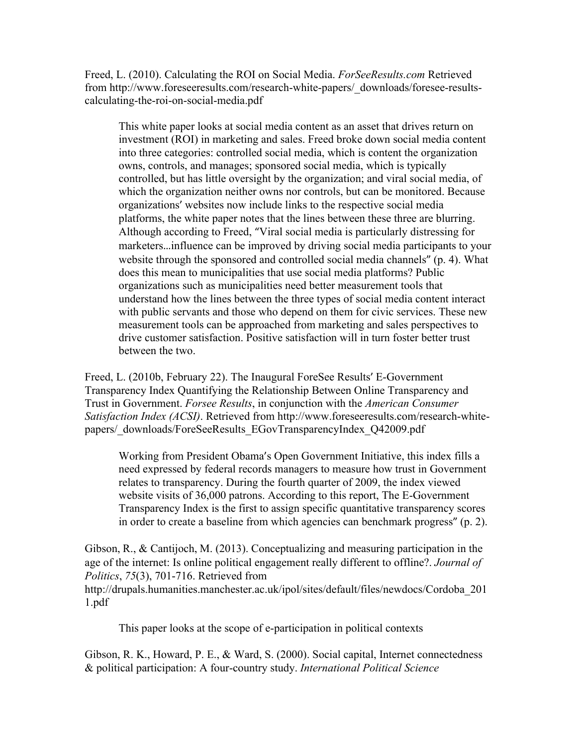Freed, L. (2010). Calculating the ROI on Social Media. *ForSeeResults.com* Retrieved from http://www.foreseeresults.com/research-white-papers/\_downloads/foresee-resultscalculating-the-roi-on-social-media.pdf

This white paper looks at social media content as an asset that drives return on investment (ROI) in marketing and sales. Freed broke down social media content into three categories: controlled social media, which is content the organization owns, controls, and manages; sponsored social media, which is typically controlled, but has little oversight by the organization; and viral social media, of which the organization neither owns nor controls, but can be monitored. Because organizations' websites now include links to the respective social media platforms, the white paper notes that the lines between these three are blurring. Although according to Freed, "Viral social media is particularly distressing for marketers…influence can be improved by driving social media participants to your website through the sponsored and controlled social media channels" (p. 4). What does this mean to municipalities that use social media platforms? Public organizations such as municipalities need better measurement tools that understand how the lines between the three types of social media content interact with public servants and those who depend on them for civic services. These new measurement tools can be approached from marketing and sales perspectives to drive customer satisfaction. Positive satisfaction will in turn foster better trust between the two.

Freed, L. (2010b, February 22). The Inaugural ForeSee Results' E-Government Transparency Index Quantifying the Relationship Between Online Transparency and Trust in Government. *Forsee Results*, in conjunction with the *American Consumer Satisfaction Index (ACSI)*. Retrieved from http://www.foreseeresults.com/research-whitepapers/\_downloads/ForeSeeResults\_EGovTransparencyIndex\_Q42009.pdf

Working from President Obama's Open Government Initiative, this index fills a need expressed by federal records managers to measure how trust in Government relates to transparency. During the fourth quarter of 2009, the index viewed website visits of 36,000 patrons. According to this report, The E-Government Transparency Index is the first to assign specific quantitative transparency scores in order to create a baseline from which agencies can benchmark progress" (p. 2).

Gibson, R., & Cantijoch, M. (2013). Conceptualizing and measuring participation in the age of the internet: Is online political engagement really different to offline?. *Journal of Politics*, *75*(3), 701-716. Retrieved from http://drupals.humanities.manchester.ac.uk/ipol/sites/default/files/newdocs/Cordoba\_201 1.pdf

This paper looks at the scope of e-participation in political contexts

Gibson, R. K., Howard, P. E., & Ward, S. (2000). Social capital, Internet connectedness & political participation: A four-country study. *International Political Science*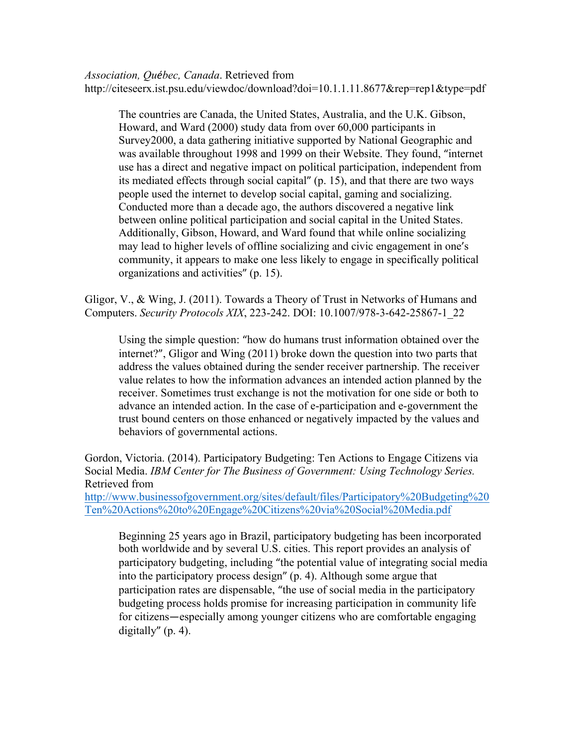*Association, Québec, Canada*. Retrieved from http://citeseerx.ist.psu.edu/viewdoc/download?doi=10.1.1.11.8677&rep=rep1&type=pdf

The countries are Canada, the United States, Australia, and the U.K. Gibson, Howard, and Ward (2000) study data from over 60,000 participants in Survey2000, a data gathering initiative supported by National Geographic and was available throughout 1998 and 1999 on their Website. They found, "internet use has a direct and negative impact on political participation, independent from its mediated effects through social capital"  $(p. 15)$ , and that there are two ways people used the internet to develop social capital, gaming and socializing. Conducted more than a decade ago, the authors discovered a negative link between online political participation and social capital in the United States. Additionally, Gibson, Howard, and Ward found that while online socializing may lead to higher levels of offline socializing and civic engagement in one's community, it appears to make one less likely to engage in specifically political organizations and activities" (p. 15).

Gligor, V., & Wing, J. (2011). Towards a Theory of Trust in Networks of Humans and Computers. *Security Protocols XIX*, 223-242. DOI: 10.1007/978-3-642-25867-1\_22

Using the simple question: "how do humans trust information obtained over the internet?", Gligor and Wing (2011) broke down the question into two parts that address the values obtained during the sender receiver partnership. The receiver value relates to how the information advances an intended action planned by the receiver. Sometimes trust exchange is not the motivation for one side or both to advance an intended action. In the case of e-participation and e-government the trust bound centers on those enhanced or negatively impacted by the values and behaviors of governmental actions.

Gordon, Victoria. (2014). Participatory Budgeting: Ten Actions to Engage Citizens via Social Media. *IBM Center for The Business of Government: Using Technology Series.* Retrieved from http://www.businessofgovernment.org/sites/default/files/Participatory%20Budgeting%20

Ten%20Actions%20to%20Engage%20Citizens%20via%20Social%20Media.pdf

Beginning 25 years ago in Brazil, participatory budgeting has been incorporated both worldwide and by several U.S. cities. This report provides an analysis of participatory budgeting, including "the potential value of integrating social media into the participatory process design"  $(p, 4)$ . Although some argue that participation rates are dispensable, "the use of social media in the participatory budgeting process holds promise for increasing participation in community life for citizens—especially among younger citizens who are comfortable engaging digitally"  $(p. 4)$ .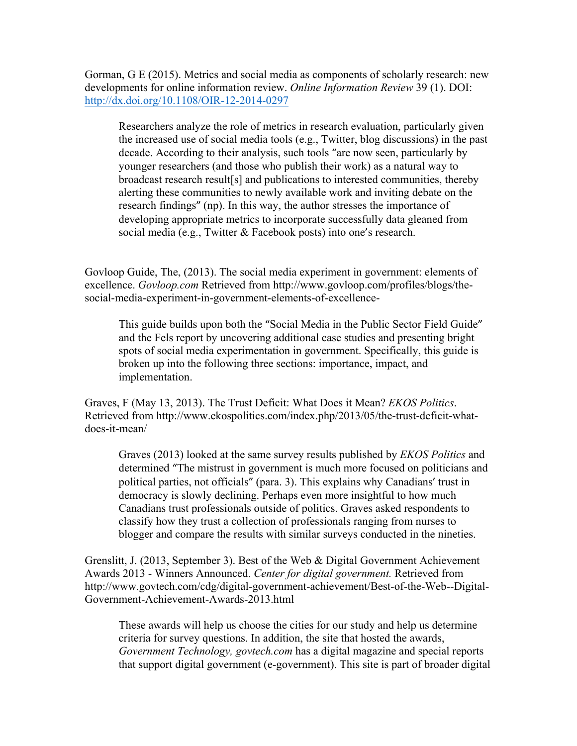Gorman, G E (2015). Metrics and social media as components of scholarly research: new developments for online information review. *Online Information Review* 39 (1). DOI: http://dx.doi.org/10.1108/OIR-12-2014-0297

Researchers analyze the role of metrics in research evaluation, particularly given the increased use of social media tools (e.g., Twitter, blog discussions) in the past decade. According to their analysis, such tools "are now seen, particularly by younger researchers (and those who publish their work) as a natural way to broadcast research result[s] and publications to interested communities, thereby alerting these communities to newly available work and inviting debate on the research findings" (np). In this way, the author stresses the importance of developing appropriate metrics to incorporate successfully data gleaned from social media (e.g., Twitter & Facebook posts) into one's research.

Govloop Guide, The, (2013). The social media experiment in government: elements of excellence. *Govloop.com* Retrieved from http://www.govloop.com/profiles/blogs/thesocial-media-experiment-in-government-elements-of-excellence-

This guide builds upon both the "Social Media in the Public Sector Field Guide" and the Fels report by uncovering additional case studies and presenting bright spots of social media experimentation in government. Specifically, this guide is broken up into the following three sections: importance, impact, and implementation.

Graves, F (May 13, 2013). The Trust Deficit: What Does it Mean? *EKOS Politics*. Retrieved from http://www.ekospolitics.com/index.php/2013/05/the-trust-deficit-whatdoes-it-mean/

Graves (2013) looked at the same survey results published by *EKOS Politics* and determined "The mistrust in government is much more focused on politicians and political parties, not officials" (para. 3). This explains why Canadians' trust in democracy is slowly declining. Perhaps even more insightful to how much Canadians trust professionals outside of politics. Graves asked respondents to classify how they trust a collection of professionals ranging from nurses to blogger and compare the results with similar surveys conducted in the nineties.

Grenslitt, J. (2013, September 3). Best of the Web & Digital Government Achievement Awards 2013 - Winners Announced. *Center for digital government.* Retrieved from http://www.govtech.com/cdg/digital-government-achievement/Best-of-the-Web--Digital-Government-Achievement-Awards-2013.html

These awards will help us choose the cities for our study and help us determine criteria for survey questions. In addition, the site that hosted the awards, *Government Technology, govtech.com* has a digital magazine and special reports that support digital government (e-government). This site is part of broader digital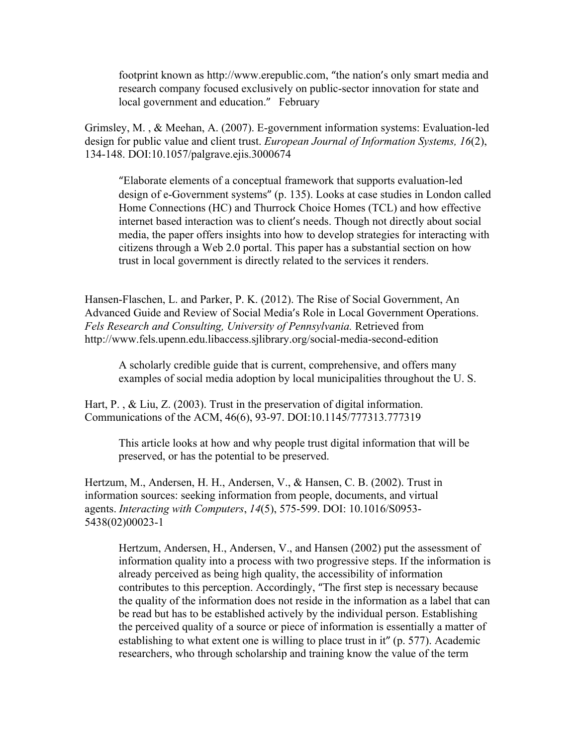footprint known as http://www.erepublic.com, "the nation's only smart media and research company focused exclusively on public-sector innovation for state and local government and education." February

Grimsley, M. , & Meehan, A. (2007). E-government information systems: Evaluation-led design for public value and client trust. *European Journal of Information Systems, 16*(2), 134-148. DOI:10.1057/palgrave.ejis.3000674

"Elaborate elements of a conceptual framework that supports evaluation-led design of e-Government systems" (p. 135). Looks at case studies in London called Home Connections (HC) and Thurrock Choice Homes (TCL) and how effective internet based interaction was to client's needs. Though not directly about social media, the paper offers insights into how to develop strategies for interacting with citizens through a Web 2.0 portal. This paper has a substantial section on how trust in local government is directly related to the services it renders.

Hansen-Flaschen, L. and Parker, P. K. (2012). The Rise of Social Government, An Advanced Guide and Review of Social Media's Role in Local Government Operations. *Fels Research and Consulting, University of Pennsylvania.* Retrieved from http://www.fels.upenn.edu.libaccess.sjlibrary.org/social-media-second-edition

A scholarly credible guide that is current, comprehensive, and offers many examples of social media adoption by local municipalities throughout the U. S.

Hart, P., & Liu, Z. (2003). Trust in the preservation of digital information. Communications of the ACM, 46(6), 93-97. DOI:10.1145/777313.777319

This article looks at how and why people trust digital information that will be preserved, or has the potential to be preserved.

Hertzum, M., Andersen, H. H., Andersen, V., & Hansen, C. B. (2002). Trust in information sources: seeking information from people, documents, and virtual agents. *Interacting with Computers*, *14*(5), 575-599. DOI: 10.1016/S0953- 5438(02)00023-1

Hertzum, Andersen, H., Andersen, V., and Hansen (2002) put the assessment of information quality into a process with two progressive steps. If the information is already perceived as being high quality, the accessibility of information contributes to this perception. Accordingly, "The first step is necessary because the quality of the information does not reside in the information as a label that can be read but has to be established actively by the individual person. Establishing the perceived quality of a source or piece of information is essentially a matter of establishing to what extent one is willing to place trust in it"  $(p. 577)$ . Academic researchers, who through scholarship and training know the value of the term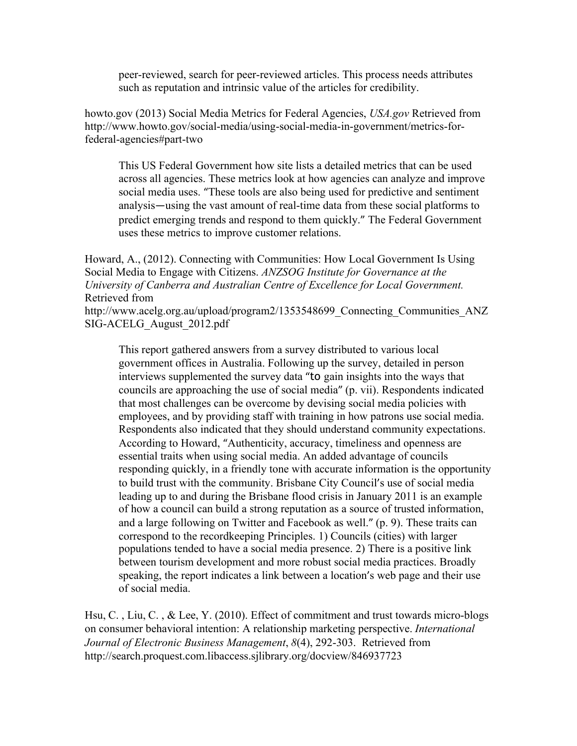peer-reviewed, search for peer-reviewed articles. This process needs attributes such as reputation and intrinsic value of the articles for credibility.

howto.gov (2013) Social Media Metrics for Federal Agencies, *USA.gov* Retrieved from http://www.howto.gov/social-media/using-social-media-in-government/metrics-forfederal-agencies#part-two

This US Federal Government how site lists a detailed metrics that can be used across all agencies. These metrics look at how agencies can analyze and improve social media uses. "These tools are also being used for predictive and sentiment analysis—using the vast amount of real-time data from these social platforms to predict emerging trends and respond to them quickly." The Federal Government uses these metrics to improve customer relations.

Howard, A., (2012). Connecting with Communities: How Local Government Is Using Social Media to Engage with Citizens. *ANZSOG Institute for Governance at the University of Canberra and Australian Centre of Excellence for Local Government.* Retrieved from

http://www.acelg.org.au/upload/program2/1353548699 Connecting Communities ANZ SIG-ACELG\_August\_2012.pdf

This report gathered answers from a survey distributed to various local government offices in Australia. Following up the survey, detailed in person interviews supplemented the survey data "to gain insights into the ways that councils are approaching the use of social media" (p. vii). Respondents indicated that most challenges can be overcome by devising social media policies with employees, and by providing staff with training in how patrons use social media. Respondents also indicated that they should understand community expectations. According to Howard, "Authenticity, accuracy, timeliness and openness are essential traits when using social media. An added advantage of councils responding quickly, in a friendly tone with accurate information is the opportunity to build trust with the community. Brisbane City Council's use of social media leading up to and during the Brisbane flood crisis in January 2011 is an example of how a council can build a strong reputation as a source of trusted information, and a large following on Twitter and Facebook as well." (p. 9). These traits can correspond to the recordkeeping Principles. 1) Councils (cities) with larger populations tended to have a social media presence. 2) There is a positive link between tourism development and more robust social media practices. Broadly speaking, the report indicates a link between a location's web page and their use of social media.

Hsu, C. , Liu, C. , & Lee, Y. (2010). Effect of commitment and trust towards micro-blogs on consumer behavioral intention: A relationship marketing perspective. *International Journal of Electronic Business Management*, *8*(4), 292-303. Retrieved from http://search.proquest.com.libaccess.sjlibrary.org/docview/846937723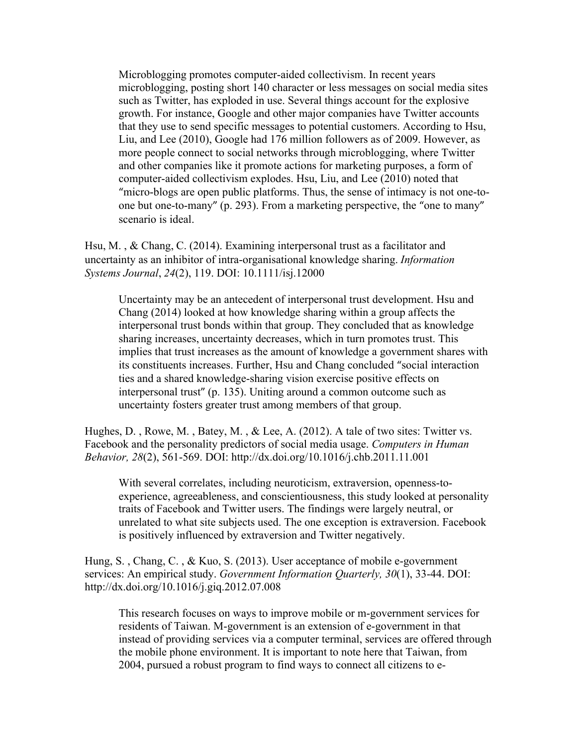Microblogging promotes computer-aided collectivism. In recent years microblogging, posting short 140 character or less messages on social media sites such as Twitter, has exploded in use. Several things account for the explosive growth. For instance, Google and other major companies have Twitter accounts that they use to send specific messages to potential customers. According to Hsu, Liu, and Lee (2010), Google had 176 million followers as of 2009. However, as more people connect to social networks through microblogging, where Twitter and other companies like it promote actions for marketing purposes, a form of computer-aided collectivism explodes. Hsu, Liu, and Lee (2010) noted that "micro-blogs are open public platforms. Thus, the sense of intimacy is not one-toone but one-to-many" (p. 293). From a marketing perspective, the "one to many" scenario is ideal.

Hsu, M. , & Chang, C. (2014). Examining interpersonal trust as a facilitator and uncertainty as an inhibitor of intra-organisational knowledge sharing. *Information Systems Journal*, *24*(2), 119. DOI: 10.1111/isj.12000

Uncertainty may be an antecedent of interpersonal trust development. Hsu and Chang (2014) looked at how knowledge sharing within a group affects the interpersonal trust bonds within that group. They concluded that as knowledge sharing increases, uncertainty decreases, which in turn promotes trust. This implies that trust increases as the amount of knowledge a government shares with its constituents increases. Further, Hsu and Chang concluded "social interaction ties and a shared knowledge-sharing vision exercise positive effects on interpersonal trust" (p. 135). Uniting around a common outcome such as uncertainty fosters greater trust among members of that group.

Hughes, D., Rowe, M., Batey, M., & Lee, A. (2012). A tale of two sites: Twitter vs. Facebook and the personality predictors of social media usage. *Computers in Human Behavior, 28*(2), 561-569. DOI: http://dx.doi.org/10.1016/j.chb.2011.11.001

With several correlates, including neuroticism, extraversion, openness-toexperience, agreeableness, and conscientiousness, this study looked at personality traits of Facebook and Twitter users. The findings were largely neutral, or unrelated to what site subjects used. The one exception is extraversion. Facebook is positively influenced by extraversion and Twitter negatively.

Hung, S. , Chang, C. , & Kuo, S. (2013). User acceptance of mobile e-government services: An empirical study. *Government Information Quarterly, 30*(1), 33-44. DOI: http://dx.doi.org/10.1016/j.giq.2012.07.008

This research focuses on ways to improve mobile or m-government services for residents of Taiwan. M-government is an extension of e-government in that instead of providing services via a computer terminal, services are offered through the mobile phone environment. It is important to note here that Taiwan, from 2004, pursued a robust program to find ways to connect all citizens to e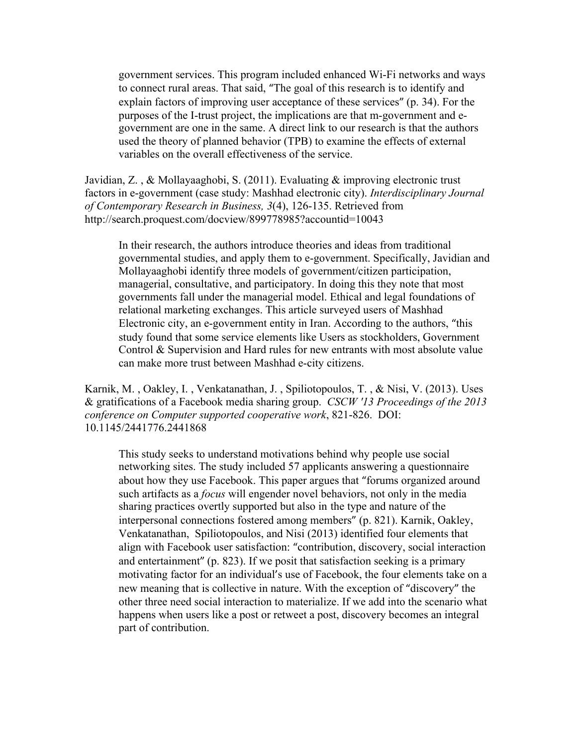government services. This program included enhanced Wi-Fi networks and ways to connect rural areas. That said, "The goal of this research is to identify and explain factors of improving user acceptance of these services" (p. 34). For the purposes of the I-trust project, the implications are that m-government and egovernment are one in the same. A direct link to our research is that the authors used the theory of planned behavior (TPB) to examine the effects of external variables on the overall effectiveness of the service.

Javidian, Z. , & Mollayaaghobi, S. (2011). Evaluating & improving electronic trust factors in e-government (case study: Mashhad electronic city). *Interdisciplinary Journal of Contemporary Research in Business, 3*(4), 126-135. Retrieved from http://search.proquest.com/docview/899778985?accountid=10043

In their research, the authors introduce theories and ideas from traditional governmental studies, and apply them to e-government. Specifically, Javidian and Mollayaaghobi identify three models of government/citizen participation, managerial, consultative, and participatory. In doing this they note that most governments fall under the managerial model. Ethical and legal foundations of relational marketing exchanges. This article surveyed users of Mashhad Electronic city, an e-government entity in Iran. According to the authors, "this study found that some service elements like Users as stockholders, Government Control & Supervision and Hard rules for new entrants with most absolute value can make more trust between Mashhad e-city citizens.

Karnik, M. , Oakley, I. , Venkatanathan, J. , Spiliotopoulos, T. , & Nisi, V. (2013). Uses & gratifications of a Facebook media sharing group. *CSCW '13 Proceedings of the 2013 conference on Computer supported cooperative work*, 821-826. DOI: 10.1145/2441776.2441868

This study seeks to understand motivations behind why people use social networking sites. The study included 57 applicants answering a questionnaire about how they use Facebook. This paper argues that "forums organized around such artifacts as a *focus* will engender novel behaviors, not only in the media sharing practices overtly supported but also in the type and nature of the interpersonal connections fostered among members" (p. 821). Karnik, Oakley, Venkatanathan, Spiliotopoulos, and Nisi (2013) identified four elements that align with Facebook user satisfaction: "contribution, discovery, social interaction and entertainment"  $(p. 823)$ . If we posit that satisfaction seeking is a primary motivating factor for an individual's use of Facebook, the four elements take on a new meaning that is collective in nature. With the exception of "discovery" the other three need social interaction to materialize. If we add into the scenario what happens when users like a post or retweet a post, discovery becomes an integral part of contribution.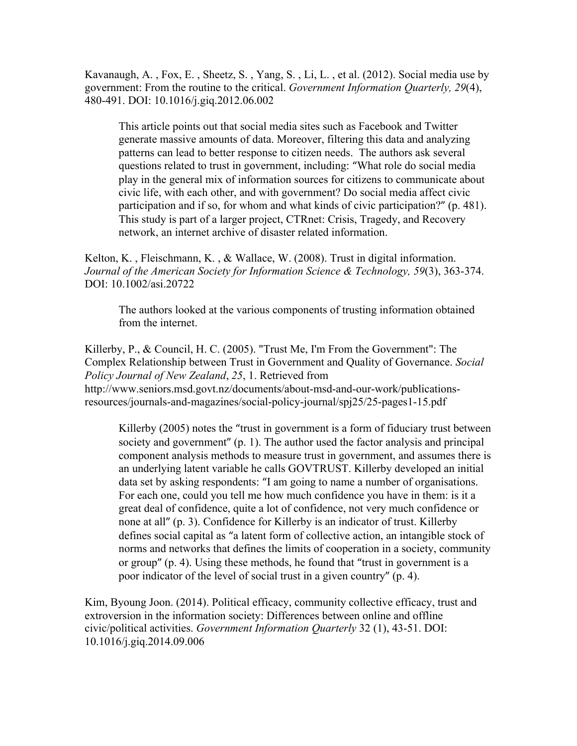Kavanaugh, A. , Fox, E. , Sheetz, S. , Yang, S. , Li, L. , et al. (2012). Social media use by government: From the routine to the critical. *Government Information Quarterly, 29*(4), 480-491. DOI: 10.1016/j.giq.2012.06.002

This article points out that social media sites such as Facebook and Twitter generate massive amounts of data. Moreover, filtering this data and analyzing patterns can lead to better response to citizen needs. The authors ask several questions related to trust in government, including: "What role do social media play in the general mix of information sources for citizens to communicate about civic life, with each other, and with government? Do social media affect civic participation and if so, for whom and what kinds of civic participation?" (p. 481). This study is part of a larger project, CTRnet: Crisis, Tragedy, and Recovery network, an internet archive of disaster related information.

Kelton, K. , Fleischmann, K. , & Wallace, W. (2008). Trust in digital information. *Journal of the American Society for Information Science & Technology, 59*(3), 363-374. DOI: 10.1002/asi.20722

The authors looked at the various components of trusting information obtained from the internet.

Killerby, P., & Council, H. C. (2005). "Trust Me, I'm From the Government": The Complex Relationship between Trust in Government and Quality of Governance. *Social Policy Journal of New Zealand*, *25*, 1. Retrieved from http://www.seniors.msd.govt.nz/documents/about-msd-and-our-work/publicationsresources/journals-and-magazines/social-policy-journal/spj25/25-pages1-15.pdf

Killerby (2005) notes the "trust in government is a form of fiduciary trust between society and government"  $(p, 1)$ . The author used the factor analysis and principal component analysis methods to measure trust in government, and assumes there is an underlying latent variable he calls GOVTRUST. Killerby developed an initial data set by asking respondents: "I am going to name a number of organisations. For each one, could you tell me how much confidence you have in them: is it a great deal of confidence, quite a lot of confidence, not very much confidence or none at all" (p. 3). Confidence for Killerby is an indicator of trust. Killerby defines social capital as "a latent form of collective action, an intangible stock of norms and networks that defines the limits of cooperation in a society, community or group"  $(p, 4)$ . Using these methods, he found that "trust in government is a poor indicator of the level of social trust in a given country" (p. 4).

Kim, Byoung Joon. (2014). Political efficacy, community collective efficacy, trust and extroversion in the information society: Differences between online and offline civic/political activities. *Government Information Quarterly* 32 (1), 43-51. DOI: 10.1016/j.giq.2014.09.006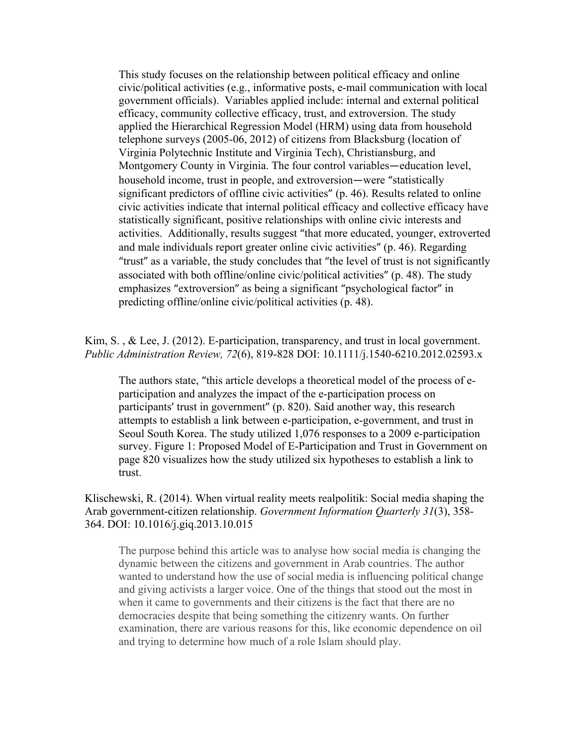This study focuses on the relationship between political efficacy and online civic/political activities (e.g., informative posts, e-mail communication with local government officials). Variables applied include: internal and external political efficacy, community collective efficacy, trust, and extroversion. The study applied the Hierarchical Regression Model (HRM) using data from household telephone surveys (2005-06, 2012) of citizens from Blacksburg (location of Virginia Polytechnic Institute and Virginia Tech), Christiansburg, and Montgomery County in Virginia. The four control variables—education level, household income, trust in people, and extroversion—were "statistically significant predictors of offline civic activities" (p. 46). Results related to online civic activities indicate that internal political efficacy and collective efficacy have statistically significant, positive relationships with online civic interests and activities. Additionally, results suggest "that more educated, younger, extroverted and male individuals report greater online civic activities" (p. 46). Regarding "trust" as a variable, the study concludes that "the level of trust is not significantly associated with both offline/online civic/political activities" (p. 48). The study emphasizes "extroversion" as being a significant "psychological factor" in predicting offline/online civic/political activities (p. 48).

Kim, S., & Lee, J. (2012). E-participation, transparency, and trust in local government. *Public Administration Review, 72*(6), 819-828 DOI: 10.1111/j.1540-6210.2012.02593.x

The authors state, "this article develops a theoretical model of the process of eparticipation and analyzes the impact of the e-participation process on participants' trust in government" (p. 820). Said another way, this research attempts to establish a link between e-participation, e-government, and trust in Seoul South Korea. The study utilized 1,076 responses to a 2009 e-participation survey. Figure 1: Proposed Model of E-Participation and Trust in Government on page 820 visualizes how the study utilized six hypotheses to establish a link to trust.

Klischewski, R. (2014). When virtual reality meets realpolitik: Social media shaping the Arab government-citizen relationship. *Government Information Quarterly 31*(3), 358- 364. DOI: 10.1016/j.giq.2013.10.015

The purpose behind this article was to analyse how social media is changing the dynamic between the citizens and government in Arab countries. The author wanted to understand how the use of social media is influencing political change and giving activists a larger voice. One of the things that stood out the most in when it came to governments and their citizens is the fact that there are no democracies despite that being something the citizenry wants. On further examination, there are various reasons for this, like economic dependence on oil and trying to determine how much of a role Islam should play.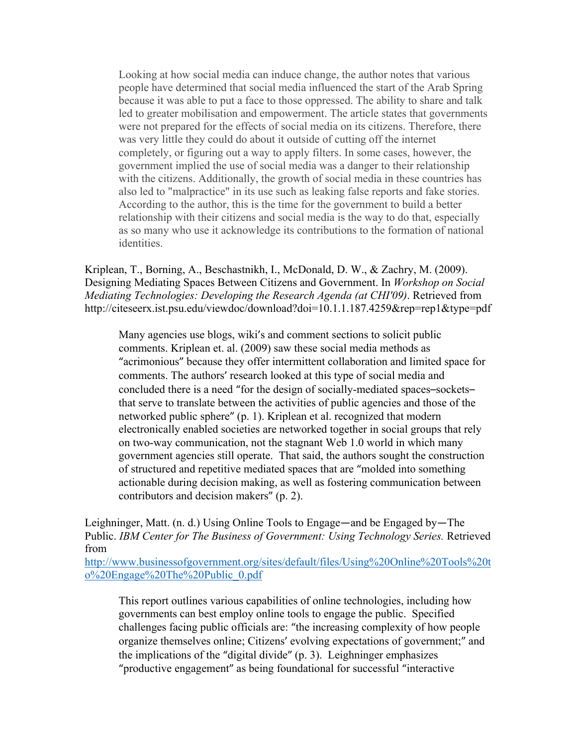Looking at how social media can induce change, the author notes that various people have determined that social media influenced the start of the Arab Spring because it was able to put a face to those oppressed. The ability to share and talk led to greater mobilisation and empowerment. The article states that governments were not prepared for the effects of social media on its citizens. Therefore, there was very little they could do about it outside of cutting off the internet completely, or figuring out a way to apply filters. In some cases, however, the government implied the use of social media was a danger to their relationship with the citizens. Additionally, the growth of social media in these countries has also led to "malpractice" in its use such as leaking false reports and fake stories. According to the author, this is the time for the government to build a better relationship with their citizens and social media is the way to do that, especially as so many who use it acknowledge its contributions to the formation of national identities.

Kriplean, T., Borning, A., Beschastnikh, I., McDonald, D. W., & Zachry, M. (2009). Designing Mediating Spaces Between Citizens and Government. In *Workshop on Social Mediating Technologies: Developing the Research Agenda (at CHI'09)*. Retrieved from http://citeseerx.ist.psu.edu/viewdoc/download?doi=10.1.1.187.4259&rep=rep1&type=pdf

Many agencies use blogs, wiki's and comment sections to solicit public comments. Kriplean et. al. (2009) saw these social media methods as "acrimonious" because they offer intermittent collaboration and limited space for comments. The authors' research looked at this type of social media and concluded there is a need "for the design of socially-mediated spaces–sockets– that serve to translate between the activities of public agencies and those of the networked public sphere" (p. 1). Kriplean et al. recognized that modern electronically enabled societies are networked together in social groups that rely on two-way communication, not the stagnant Web 1.0 world in which many government agencies still operate. That said, the authors sought the construction of structured and repetitive mediated spaces that are "molded into something actionable during decision making, as well as fostering communication between contributors and decision makers" (p. 2).

Leighninger, Matt. (n. d.) Using Online Tools to Engage—and be Engaged by—The Public. *IBM Center for The Business of Government: Using Technology Series.* Retrieved from

http://www.businessofgovernment.org/sites/default/files/Using%20Online%20Tools%20t o%20Engage%20The%20Public\_0.pdf

This report outlines various capabilities of online technologies, including how governments can best employ online tools to engage the public. Specified challenges facing public officials are: "the increasing complexity of how people organize themselves online; Citizens' evolving expectations of government;" and the implications of the "digital divide"  $(p, 3)$ . Leighninger emphasizes "productive engagement" as being foundational for successful "interactive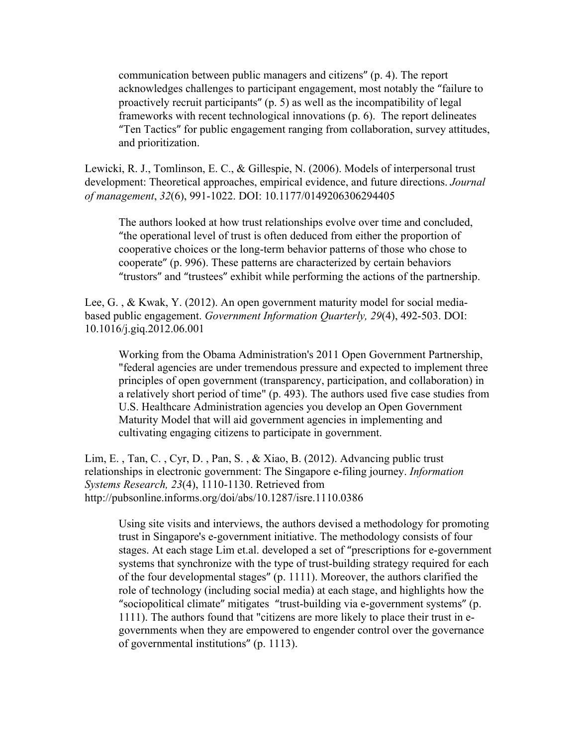communication between public managers and citizens" (p. 4). The report acknowledges challenges to participant engagement, most notably the "failure to proactively recruit participants"  $(p, 5)$  as well as the incompatibility of legal frameworks with recent technological innovations (p. 6). The report delineates "Ten Tactics" for public engagement ranging from collaboration, survey attitudes, and prioritization.

Lewicki, R. J., Tomlinson, E. C., & Gillespie, N. (2006). Models of interpersonal trust development: Theoretical approaches, empirical evidence, and future directions. *Journal of management*, *32*(6), 991-1022. DOI: 10.1177/0149206306294405

The authors looked at how trust relationships evolve over time and concluded, "the operational level of trust is often deduced from either the proportion of cooperative choices or the long-term behavior patterns of those who chose to cooperate" (p. 996). These patterns are characterized by certain behaviors "trustors" and "trustees" exhibit while performing the actions of the partnership.

Lee, G. , & Kwak, Y. (2012). An open government maturity model for social mediabased public engagement. *Government Information Quarterly, 29*(4), 492-503. DOI: 10.1016/j.giq.2012.06.001

Working from the Obama Administration's 2011 Open Government Partnership, "federal agencies are under tremendous pressure and expected to implement three principles of open government (transparency, participation, and collaboration) in a relatively short period of time" (p. 493). The authors used five case studies from U.S. Healthcare Administration agencies you develop an Open Government Maturity Model that will aid government agencies in implementing and cultivating engaging citizens to participate in government.

Lim, E. , Tan, C. , Cyr, D. , Pan, S. , & Xiao, B. (2012). Advancing public trust relationships in electronic government: The Singapore e-filing journey. *Information Systems Research, 23*(4), 1110-1130. Retrieved from http://pubsonline.informs.org/doi/abs/10.1287/isre.1110.0386

Using site visits and interviews, the authors devised a methodology for promoting trust in Singapore's e-government initiative. The methodology consists of four stages. At each stage Lim et.al. developed a set of "prescriptions for e-government systems that synchronize with the type of trust-building strategy required for each of the four developmental stages" (p. 1111). Moreover, the authors clarified the role of technology (including social media) at each stage, and highlights how the "sociopolitical climate" mitigates "trust-building via e-government systems" (p. 1111). The authors found that "citizens are more likely to place their trust in egovernments when they are empowered to engender control over the governance of governmental institutions" (p. 1113).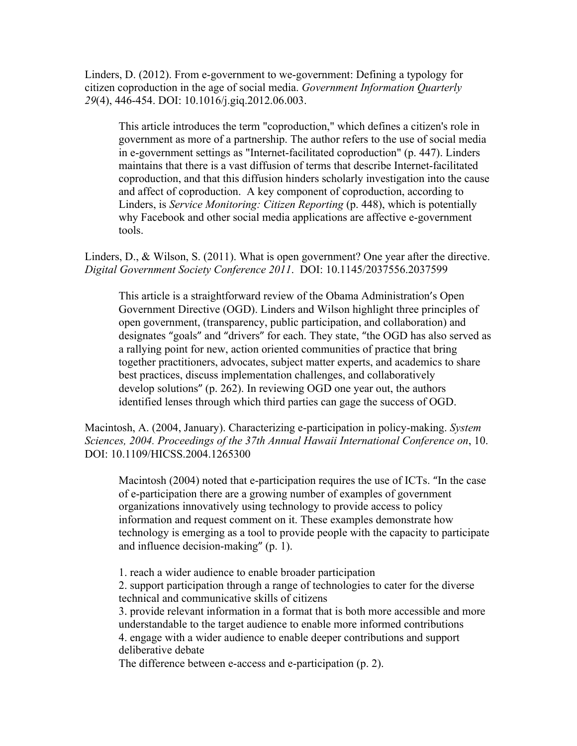Linders, D. (2012). From e-government to we-government: Defining a typology for citizen coproduction in the age of social media. *Government Information Quarterly 29*(4), 446-454. DOI: 10.1016/j.giq.2012.06.003.

This article introduces the term "coproduction," which defines a citizen's role in government as more of a partnership. The author refers to the use of social media in e-government settings as "Internet-facilitated coproduction" (p. 447). Linders maintains that there is a vast diffusion of terms that describe Internet-facilitated coproduction, and that this diffusion hinders scholarly investigation into the cause and affect of coproduction. A key component of coproduction, according to Linders, is *Service Monitoring: Citizen Reporting* (p. 448), which is potentially why Facebook and other social media applications are affective e-government tools.

Linders, D., & Wilson, S. (2011). What is open government? One year after the directive. *Digital Government Society Conference 2011*. DOI: 10.1145/2037556.2037599

This article is a straightforward review of the Obama Administration's Open Government Directive (OGD). Linders and Wilson highlight three principles of open government, (transparency, public participation, and collaboration) and designates "goals" and "drivers" for each. They state, "the OGD has also served as a rallying point for new, action oriented communities of practice that bring together practitioners, advocates, subject matter experts, and academics to share best practices, discuss implementation challenges, and collaboratively develop solutions" (p. 262). In reviewing OGD one year out, the authors identified lenses through which third parties can gage the success of OGD.

Macintosh, A. (2004, January). Characterizing e-participation in policy-making. *System Sciences, 2004. Proceedings of the 37th Annual Hawaii International Conference on*, 10. DOI: 10.1109/HICSS.2004.1265300

Macintosh (2004) noted that e-participation requires the use of ICTs. "In the case of e-participation there are a growing number of examples of government organizations innovatively using technology to provide access to policy information and request comment on it. These examples demonstrate how technology is emerging as a tool to provide people with the capacity to participate and influence decision-making"  $(p, 1)$ .

1. reach a wider audience to enable broader participation

2. support participation through a range of technologies to cater for the diverse technical and communicative skills of citizens

3. provide relevant information in a format that is both more accessible and more understandable to the target audience to enable more informed contributions 4. engage with a wider audience to enable deeper contributions and support deliberative debate

The difference between e-access and e-participation (p. 2).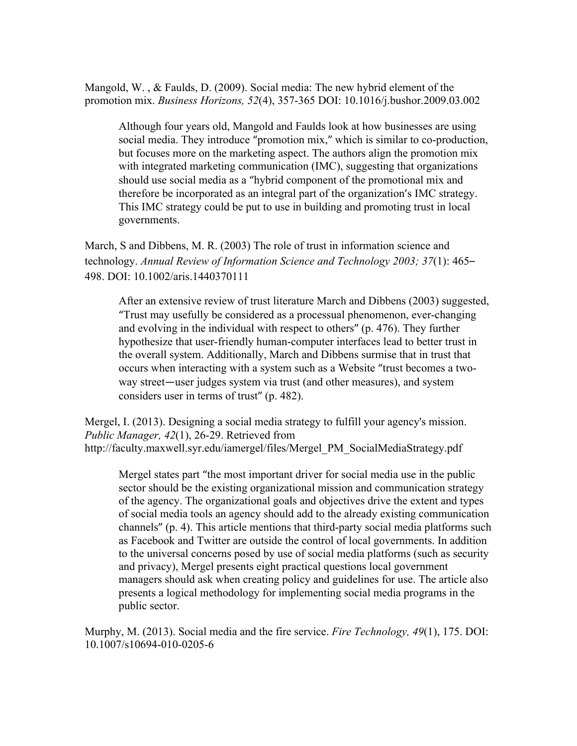Mangold, W. , & Faulds, D. (2009). Social media: The new hybrid element of the promotion mix. *Business Horizons, 52*(4), 357-365 DOI: 10.1016/j.bushor.2009.03.002

Although four years old, Mangold and Faulds look at how businesses are using social media. They introduce "promotion mix," which is similar to co-production, but focuses more on the marketing aspect. The authors align the promotion mix with integrated marketing communication (IMC), suggesting that organizations should use social media as a "hybrid component of the promotional mix and therefore be incorporated as an integral part of the organization's IMC strategy. This IMC strategy could be put to use in building and promoting trust in local governments.

March, S and Dibbens, M. R. (2003) The role of trust in information science and technology. *Annual Review of Information Science and Technology 2003; 37*(1): 465– 498. DOI: 10.1002/aris.1440370111

After an extensive review of trust literature March and Dibbens (2003) suggested, "Trust may usefully be considered as a processual phenomenon, ever-changing and evolving in the individual with respect to others" (p. 476). They further hypothesize that user-friendly human-computer interfaces lead to better trust in the overall system. Additionally, March and Dibbens surmise that in trust that occurs when interacting with a system such as a Website "trust becomes a twoway street—user judges system via trust (and other measures), and system considers user in terms of trust" (p. 482).

Mergel, I. (2013). Designing a social media strategy to fulfill your agency's mission. *Public Manager, 42*(1), 26-29. Retrieved from http://faculty.maxwell.syr.edu/iamergel/files/Mergel\_PM\_SocialMediaStrategy.pdf

Mergel states part "the most important driver for social media use in the public sector should be the existing organizational mission and communication strategy of the agency. The organizational goals and objectives drive the extent and types of social media tools an agency should add to the already existing communication channels"  $(p, 4)$ . This article mentions that third-party social media platforms such as Facebook and Twitter are outside the control of local governments. In addition to the universal concerns posed by use of social media platforms (such as security and privacy), Mergel presents eight practical questions local government managers should ask when creating policy and guidelines for use. The article also presents a logical methodology for implementing social media programs in the public sector.

Murphy, M. (2013). Social media and the fire service. *Fire Technology, 49*(1), 175. DOI: 10.1007/s10694-010-0205-6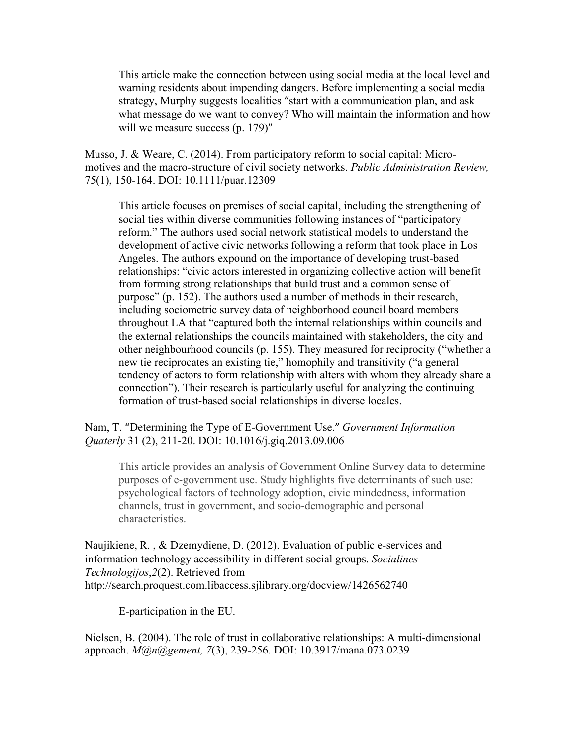This article make the connection between using social media at the local level and warning residents about impending dangers. Before implementing a social media strategy, Murphy suggests localities "start with a communication plan, and ask what message do we want to convey? Who will maintain the information and how will we measure success (p. 179)"

Musso, J. & Weare, C. (2014). From participatory reform to social capital: Micromotives and the macro-structure of civil society networks. *Public Administration Review,*  75(1), 150-164. DOI: 10.1111/puar.12309

This article focuses on premises of social capital, including the strengthening of social ties within diverse communities following instances of "participatory reform." The authors used social network statistical models to understand the development of active civic networks following a reform that took place in Los Angeles. The authors expound on the importance of developing trust-based relationships: "civic actors interested in organizing collective action will benefit from forming strong relationships that build trust and a common sense of purpose" (p. 152). The authors used a number of methods in their research, including sociometric survey data of neighborhood council board members throughout LA that "captured both the internal relationships within councils and the external relationships the councils maintained with stakeholders, the city and other neighbourhood councils (p. 155). They measured for reciprocity ("whether a new tie reciprocates an existing tie," homophily and transitivity ("a general tendency of actors to form relationship with alters with whom they already share a connection"). Their research is particularly useful for analyzing the continuing formation of trust-based social relationships in diverse locales.

Nam, T. "Determining the Type of E-Government Use." *Government Information Quaterly* 31 (2), 211-20. DOI: 10.1016/j.giq.2013.09.006

This article provides an analysis of Government Online Survey data to determine purposes of e-government use. Study highlights five determinants of such use: psychological factors of technology adoption, civic mindedness, information channels, trust in government, and socio-demographic and personal characteristics.

Naujikiene, R. , & Dzemydiene, D. (2012). Evaluation of public e-services and information technology accessibility in different social groups. *Socialines Technologijos*,*2*(2). Retrieved from http://search.proquest.com.libaccess.sjlibrary.org/docview/1426562740

E-participation in the EU.

Nielsen, B. (2004). The role of trust in collaborative relationships: A multi-dimensional approach. *M@n@gement, 7*(3), 239-256. DOI: 10.3917/mana.073.0239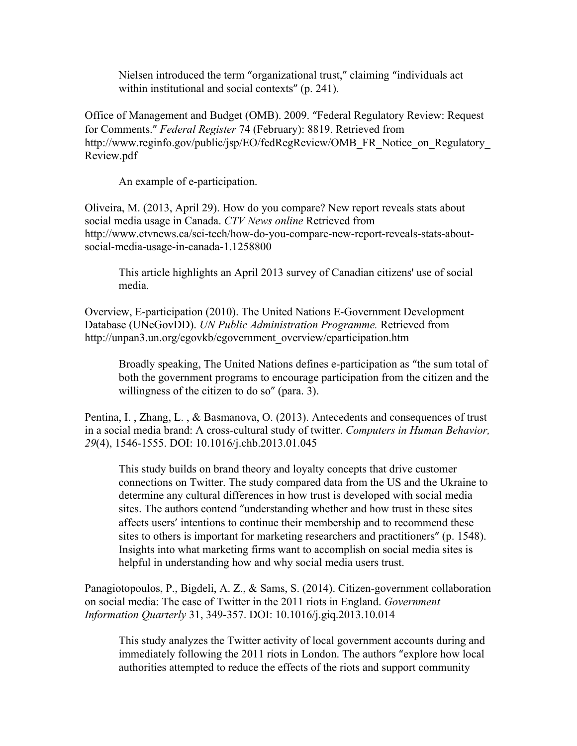Nielsen introduced the term "organizational trust," claiming "individuals act within institutional and social contexts"  $(p. 241)$ .

Office of Management and Budget (OMB). 2009. "Federal Regulatory Review: Request for Comments." *Federal Register* 74 (February): 8819. Retrieved from http://www.reginfo.gov/public/jsp/EO/fedRegReview/OMB\_FR\_Notice\_on\_Regulatory Review.pdf

An example of e-participation.

Oliveira, M. (2013, April 29). How do you compare? New report reveals stats about social media usage in Canada. *CTV News online* Retrieved from http://www.ctvnews.ca/sci-tech/how-do-you-compare-new-report-reveals-stats-aboutsocial-media-usage-in-canada-1.1258800

This article highlights an April 2013 survey of Canadian citizens' use of social media.

Overview, E-participation (2010). The United Nations E-Government Development Database (UNeGovDD). *UN Public Administration Programme.* Retrieved from http://unpan3.un.org/egovkb/egovernment\_overview/eparticipation.htm

Broadly speaking, The United Nations defines e-participation as "the sum total of both the government programs to encourage participation from the citizen and the willingness of the citizen to do so" (para. 3).

Pentina, I. , Zhang, L. , & Basmanova, O. (2013). Antecedents and consequences of trust in a social media brand: A cross-cultural study of twitter. *Computers in Human Behavior, 29*(4), 1546-1555. DOI: 10.1016/j.chb.2013.01.045

This study builds on brand theory and loyalty concepts that drive customer connections on Twitter. The study compared data from the US and the Ukraine to determine any cultural differences in how trust is developed with social media sites. The authors contend "understanding whether and how trust in these sites affects users' intentions to continue their membership and to recommend these sites to others is important for marketing researchers and practitioners" (p. 1548). Insights into what marketing firms want to accomplish on social media sites is helpful in understanding how and why social media users trust.

Panagiotopoulos, P., Bigdeli, A. Z., & Sams, S. (2014). Citizen-government collaboration on social media: The case of Twitter in the 2011 riots in England. *Government Information Quarterly* 31, 349-357. DOI: 10.1016/j.giq.2013.10.014

This study analyzes the Twitter activity of local government accounts during and immediately following the 2011 riots in London. The authors "explore how local authorities attempted to reduce the effects of the riots and support community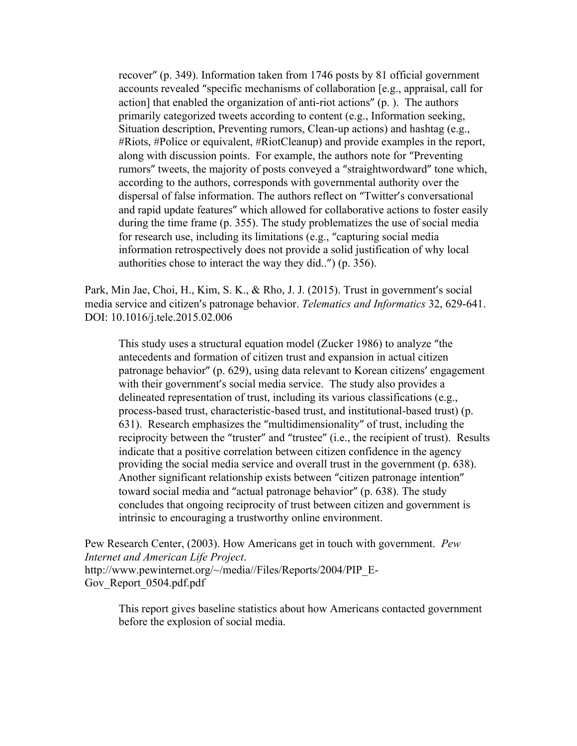recover" (p. 349). Information taken from 1746 posts by 81 official government accounts revealed "specific mechanisms of collaboration [e.g., appraisal, call for action] that enabled the organization of anti-riot actions" (p.). The authors primarily categorized tweets according to content (e.g., Information seeking, Situation description, Preventing rumors, Clean-up actions) and hashtag (e.g., #Riots, #Police or equivalent, #RiotCleanup) and provide examples in the report, along with discussion points. For example, the authors note for "Preventing rumors" tweets, the majority of posts conveyed a "straightwordward" tone which, according to the authors, corresponds with governmental authority over the dispersal of false information. The authors reflect on "Twitter's conversational and rapid update features" which allowed for collaborative actions to foster easily during the time frame (p. 355). The study problematizes the use of social media for research use, including its limitations (e.g., "capturing social media information retrospectively does not provide a solid justification of why local authorities chose to interact the way they did..") (p. 356).

Park, Min Jae, Choi, H., Kim, S. K., & Rho, J. J. (2015). Trust in government's social media service and citizen's patronage behavior. *Telematics and Informatics* 32, 629-641. DOI: 10.1016/j.tele.2015.02.006

This study uses a structural equation model (Zucker 1986) to analyze "the antecedents and formation of citizen trust and expansion in actual citizen patronage behavior" (p. 629), using data relevant to Korean citizens' engagement with their government's social media service. The study also provides a delineated representation of trust, including its various classifications (e.g., process-based trust, characteristic-based trust, and institutional-based trust) (p. 631). Research emphasizes the "multidimensionality" of trust, including the reciprocity between the "truster" and "trustee" (i.e., the recipient of trust). Results indicate that a positive correlation between citizen confidence in the agency providing the social media service and overall trust in the government (p. 638). Another significant relationship exists between "citizen patronage intention" toward social media and "actual patronage behavior" (p. 638). The study concludes that ongoing reciprocity of trust between citizen and government is intrinsic to encouraging a trustworthy online environment.

Pew Research Center, (2003). How Americans get in touch with government. *Pew Internet and American Life Project*. http://www.pewinternet.org/~/media//Files/Reports/2004/PIP\_E-Gov Report 0504.pdf.pdf

This report gives baseline statistics about how Americans contacted government before the explosion of social media.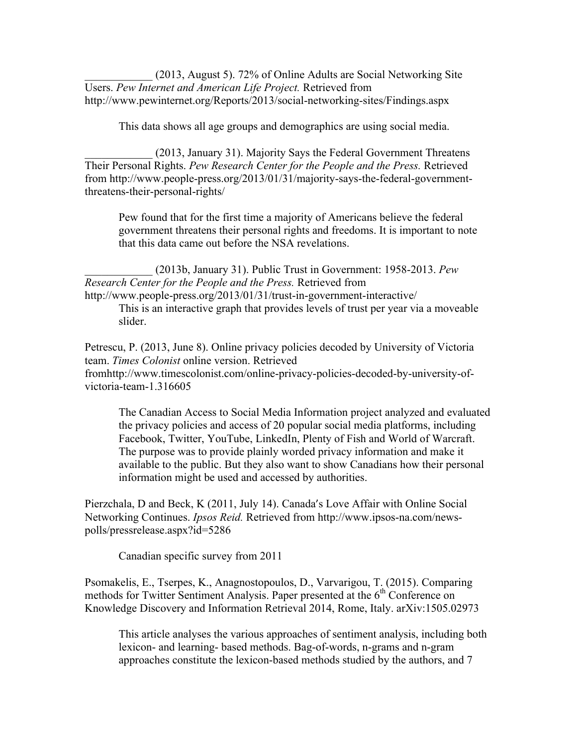\_\_\_\_\_\_\_\_\_\_\_\_ (2013, August 5). 72% of Online Adults are Social Networking Site Users. *Pew Internet and American Life Project.* Retrieved from http://www.pewinternet.org/Reports/2013/social-networking-sites/Findings.aspx

This data shows all age groups and demographics are using social media.

\_\_\_\_\_\_\_\_\_\_\_\_ (2013, January 31). Majority Says the Federal Government Threatens Their Personal Rights. *Pew Research Center for the People and the Press.* Retrieved from http://www.people-press.org/2013/01/31/majority-says-the-federal-governmentthreatens-their-personal-rights/

Pew found that for the first time a majority of Americans believe the federal government threatens their personal rights and freedoms. It is important to note that this data came out before the NSA revelations.

\_\_\_\_\_\_\_\_\_\_\_\_ (2013b, January 31). Public Trust in Government: 1958-2013. *Pew Research Center for the People and the Press.* Retrieved from http://www.people-press.org/2013/01/31/trust-in-government-interactive/

This is an interactive graph that provides levels of trust per year via a moveable slider.

Petrescu, P. (2013, June 8). Online privacy policies decoded by University of Victoria team. *Times Colonist* online version. Retrieved fromhttp://www.timescolonist.com/online-privacy-policies-decoded-by-university-ofvictoria-team-1.316605

The Canadian Access to Social Media Information project analyzed and evaluated the privacy policies and access of 20 popular social media platforms, including Facebook, Twitter, YouTube, LinkedIn, Plenty of Fish and World of Warcraft. The purpose was to provide plainly worded privacy information and make it available to the public. But they also want to show Canadians how their personal information might be used and accessed by authorities.

Pierzchala, D and Beck, K (2011, July 14). Canada's Love Affair with Online Social Networking Continues. *Ipsos Reid.* Retrieved from http://www.ipsos-na.com/newspolls/pressrelease.aspx?id=5286

Canadian specific survey from 2011

Psomakelis, E., Tserpes, K., Anagnostopoulos, D., Varvarigou, T. (2015). Comparing methods for Twitter Sentiment Analysis. Paper presented at the 6<sup>th</sup> Conference on Knowledge Discovery and Information Retrieval 2014, Rome, Italy. arXiv:1505.02973

This article analyses the various approaches of sentiment analysis, including both lexicon- and learning- based methods. Bag-of-words, n-grams and n-gram approaches constitute the lexicon-based methods studied by the authors, and 7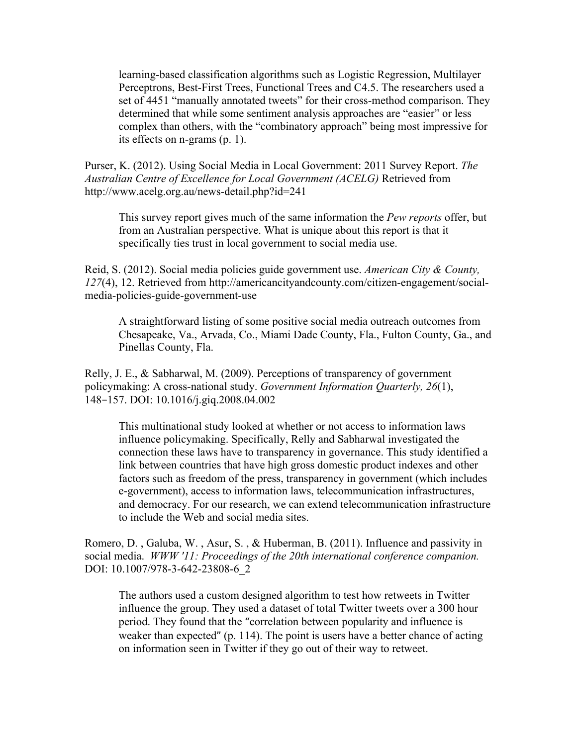learning-based classification algorithms such as Logistic Regression, Multilayer Perceptrons, Best-First Trees, Functional Trees and C4.5. The researchers used a set of 4451 "manually annotated tweets" for their cross-method comparison. They determined that while some sentiment analysis approaches are "easier" or less complex than others, with the "combinatory approach" being most impressive for its effects on n-grams (p. 1).

Purser, K. (2012). Using Social Media in Local Government: 2011 Survey Report. *The Australian Centre of Excellence for Local Government (ACELG)* Retrieved from http://www.acelg.org.au/news-detail.php?id=241

This survey report gives much of the same information the *Pew reports* offer, but from an Australian perspective. What is unique about this report is that it specifically ties trust in local government to social media use.

Reid, S. (2012). Social media policies guide government use. *American City & County, 127*(4), 12. Retrieved from http://americancityandcounty.com/citizen-engagement/socialmedia-policies-guide-government-use

A straightforward listing of some positive social media outreach outcomes from Chesapeake, Va., Arvada, Co., Miami Dade County, Fla., Fulton County, Ga., and Pinellas County, Fla.

Relly, J. E., & Sabharwal, M. (2009). Perceptions of transparency of government policymaking: A cross-national study. *Government Information Quarterly, 26*(1), 148−157. DOI: 10.1016/j.giq.2008.04.002

This multinational study looked at whether or not access to information laws influence policymaking. Specifically, Relly and Sabharwal investigated the connection these laws have to transparency in governance. This study identified a link between countries that have high gross domestic product indexes and other factors such as freedom of the press, transparency in government (which includes e-government), access to information laws, telecommunication infrastructures, and democracy. For our research, we can extend telecommunication infrastructure to include the Web and social media sites.

Romero, D. , Galuba, W. , Asur, S. , & Huberman, B. (2011). Influence and passivity in social media. *WWW '11: Proceedings of the 20th international conference companion.* DOI: 10.1007/978-3-642-23808-6\_2

The authors used a custom designed algorithm to test how retweets in Twitter influence the group. They used a dataset of total Twitter tweets over a 300 hour period. They found that the "correlation between popularity and influence is weaker than expected" (p. 114). The point is users have a better chance of acting on information seen in Twitter if they go out of their way to retweet.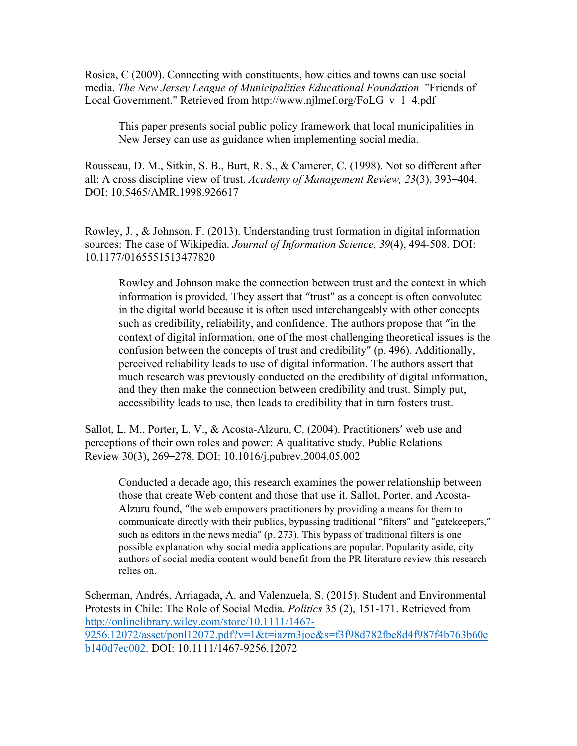Rosica, C (2009). Connecting with constituents, how cities and towns can use social media. *The New Jersey League of Municipalities Educational Foundation* "Friends of Local Government." Retrieved from http://www.njlmef.org/FoLG\_v\_1\_4.pdf

This paper presents social public policy framework that local municipalities in New Jersey can use as guidance when implementing social media.

Rousseau, D. M., Sitkin, S. B., Burt, R. S., & Camerer, C. (1998). Not so different after all: A cross discipline view of trust. *Academy of Management Review, 23*(3), 393–404. DOI: 10.5465/AMR.1998.926617

Rowley, J. , & Johnson, F. (2013). Understanding trust formation in digital information sources: The case of Wikipedia. *Journal of Information Science, 39*(4), 494-508. DOI: 10.1177/0165551513477820

Rowley and Johnson make the connection between trust and the context in which information is provided. They assert that "trust" as a concept is often convoluted in the digital world because it is often used interchangeably with other concepts such as credibility, reliability, and confidence. The authors propose that "in the context of digital information, one of the most challenging theoretical issues is the confusion between the concepts of trust and credibility" (p. 496). Additionally, perceived reliability leads to use of digital information. The authors assert that much research was previously conducted on the credibility of digital information, and they then make the connection between credibility and trust. Simply put, accessibility leads to use, then leads to credibility that in turn fosters trust.

Sallot, L. M., Porter, L. V., & Acosta-Alzuru, C. (2004). Practitioners' web use and perceptions of their own roles and power: A qualitative study. Public Relations Review 30(3), 269–278. DOI: 10.1016/j.pubrev.2004.05.002

Conducted a decade ago, this research examines the power relationship between those that create Web content and those that use it. Sallot, Porter, and Acosta-Alzuru found, "the web empowers practitioners by providing a means for them to communicate directly with their publics, bypassing traditional "filters" and "gatekeepers," such as editors in the news media"  $(p, 273)$ . This bypass of traditional filters is one possible explanation why social media applications are popular. Popularity aside, city authors of social media content would benefit from the PR literature review this research relies on.

Scherman, Andrés, Arriagada, A. and Valenzuela, S. (2015). Student and Environmental Protests in Chile: The Role of Social Media. *Politics* 35 (2), 151-171. Retrieved from http://onlinelibrary.wiley.com/store/10.1111/1467- 9256.12072/asset/ponl12072.pdf?v=1&t=iazm3joe&s=f3f98d782fbe8d4f987f4b763b60e b140d7ec002. DOI: 10.1111/1467-9256.12072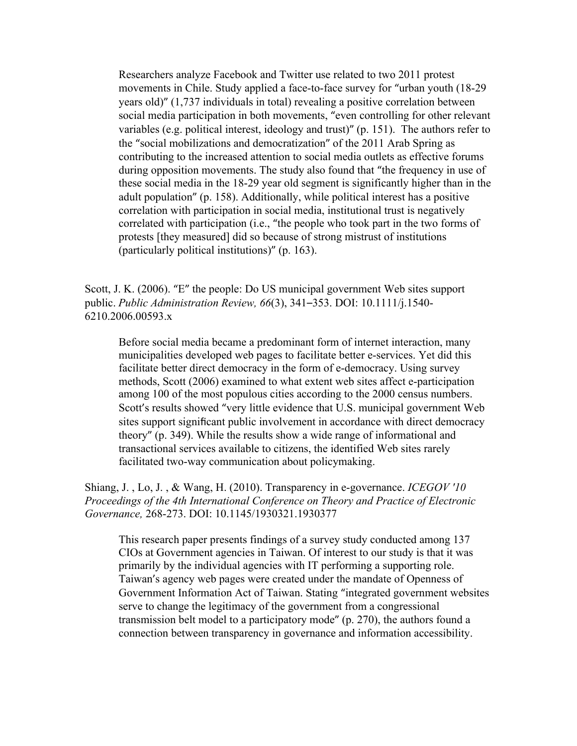Researchers analyze Facebook and Twitter use related to two 2011 protest movements in Chile. Study applied a face-to-face survey for "urban youth (18-29 years old)" (1,737 individuals in total) revealing a positive correlation between social media participation in both movements, "even controlling for other relevant variables (e.g. political interest, ideology and trust)"  $(p. 151)$ . The authors refer to the "social mobilizations and democratization" of the 2011 Arab Spring as contributing to the increased attention to social media outlets as effective forums during opposition movements. The study also found that "the frequency in use of these social media in the 18-29 year old segment is significantly higher than in the adult population" (p. 158). Additionally, while political interest has a positive correlation with participation in social media, institutional trust is negatively correlated with participation (i.e., "the people who took part in the two forms of protests [they measured] did so because of strong mistrust of institutions (particularly political institutions)"  $(p. 163)$ .

Scott, J. K. (2006). "E" the people: Do US municipal government Web sites support public. *Public Administration Review, 66*(3), 341–353. DOI: 10.1111/j.1540- 6210.2006.00593.x

Before social media became a predominant form of internet interaction, many municipalities developed web pages to facilitate better e-services. Yet did this facilitate better direct democracy in the form of e-democracy. Using survey methods, Scott (2006) examined to what extent web sites affect e-participation among 100 of the most populous cities according to the 2000 census numbers. Scott's results showed "very little evidence that U.S. municipal government Web sites support significant public involvement in accordance with direct democracy theory" (p. 349). While the results show a wide range of informational and transactional services available to citizens, the identified Web sites rarely facilitated two-way communication about policymaking.

Shiang, J. , Lo, J. , & Wang, H. (2010). Transparency in e-governance. *ICEGOV '10 Proceedings of the 4th International Conference on Theory and Practice of Electronic Governance,* 268-273. DOI: 10.1145/1930321.1930377

This research paper presents findings of a survey study conducted among 137 CIOs at Government agencies in Taiwan. Of interest to our study is that it was primarily by the individual agencies with IT performing a supporting role. Taiwan's agency web pages were created under the mandate of Openness of Government Information Act of Taiwan. Stating "integrated government websites serve to change the legitimacy of the government from a congressional transmission belt model to a participatory mode"  $(p. 270)$ , the authors found a connection between transparency in governance and information accessibility.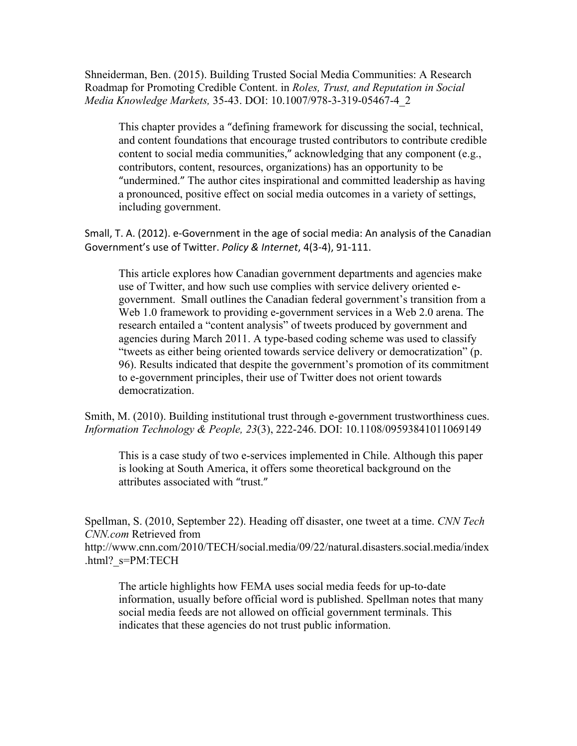Shneiderman, Ben. (2015). Building Trusted Social Media Communities: A Research Roadmap for Promoting Credible Content. in *Roles, Trust, and Reputation in Social Media Knowledge Markets,* 35-43. DOI: 10.1007/978-3-319-05467-4\_2

This chapter provides a "defining framework for discussing the social, technical, and content foundations that encourage trusted contributors to contribute credible content to social media communities," acknowledging that any component (e.g., contributors, content, resources, organizations) has an opportunity to be "undermined." The author cites inspirational and committed leadership as having a pronounced, positive effect on social media outcomes in a variety of settings, including government.

Small, T. A. (2012). e-Government in the age of social media: An analysis of the Canadian Government's use of Twitter. *Policy & Internet*, 4(3-4), 91-111.

This article explores how Canadian government departments and agencies make use of Twitter, and how such use complies with service delivery oriented egovernment. Small outlines the Canadian federal government's transition from a Web 1.0 framework to providing e-government services in a Web 2.0 arena. The research entailed a "content analysis" of tweets produced by government and agencies during March 2011. A type-based coding scheme was used to classify "tweets as either being oriented towards service delivery or democratization" (p. 96). Results indicated that despite the government's promotion of its commitment to e-government principles, their use of Twitter does not orient towards democratization.

Smith, M. (2010). Building institutional trust through e-government trustworthiness cues. *Information Technology & People, 23*(3), 222-246. DOI: 10.1108/09593841011069149

This is a case study of two e-services implemented in Chile. Although this paper is looking at South America, it offers some theoretical background on the attributes associated with "trust."

Spellman, S. (2010, September 22). Heading off disaster, one tweet at a time. *CNN Tech CNN.com* Retrieved from http://www.cnn.com/2010/TECH/social.media/09/22/natural.disasters.social.media/index

.html?\_s=PM:TECH

The article highlights how FEMA uses social media feeds for up-to-date information, usually before official word is published. Spellman notes that many social media feeds are not allowed on official government terminals. This indicates that these agencies do not trust public information.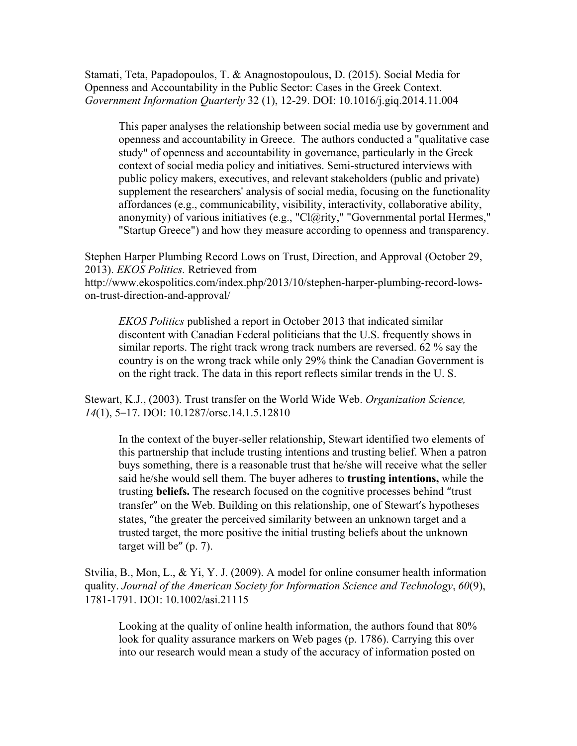Stamati, Teta, Papadopoulos, T. & Anagnostopoulous, D. (2015). Social Media for Openness and Accountability in the Public Sector: Cases in the Greek Context. *Government Information Quarterly* 32 (1), 12-29. DOI: 10.1016/j.giq.2014.11.004

This paper analyses the relationship between social media use by government and openness and accountability in Greece. The authors conducted a "qualitative case study" of openness and accountability in governance, particularly in the Greek context of social media policy and initiatives. Semi-structured interviews with public policy makers, executives, and relevant stakeholders (public and private) supplement the researchers' analysis of social media, focusing on the functionality affordances (e.g., communicability, visibility, interactivity, collaborative ability, anonymity) of various initiatives (e.g., "Cl@rity," "Governmental portal Hermes," "Startup Greece") and how they measure according to openness and transparency.

Stephen Harper Plumbing Record Lows on Trust, Direction, and Approval (October 29, 2013). *EKOS Politics.* Retrieved from

http://www.ekospolitics.com/index.php/2013/10/stephen-harper-plumbing-record-lowson-trust-direction-and-approval/

*EKOS Politics* published a report in October 2013 that indicated similar discontent with Canadian Federal politicians that the U.S. frequently shows in similar reports. The right track wrong track numbers are reversed. 62 % say the country is on the wrong track while only 29% think the Canadian Government is on the right track. The data in this report reflects similar trends in the U. S.

Stewart, K.J., (2003). Trust transfer on the World Wide Web. *Organization Science, 14*(1), 5–17. DOI: 10.1287/orsc.14.1.5.12810

In the context of the buyer-seller relationship, Stewart identified two elements of this partnership that include trusting intentions and trusting belief. When a patron buys something, there is a reasonable trust that he/she will receive what the seller said he/she would sell them. The buyer adheres to **trusting intentions,** while the trusting **beliefs.** The research focused on the cognitive processes behind "trust transfer" on the Web. Building on this relationship, one of Stewart's hypotheses states, "the greater the perceived similarity between an unknown target and a trusted target, the more positive the initial trusting beliefs about the unknown target will be"  $(p. 7)$ .

Stvilia, B., Mon, L., & Yi, Y. J. (2009). A model for online consumer health information quality. *Journal of the American Society for Information Science and Technology*, *60*(9), 1781-1791. DOI: 10.1002/asi.21115

Looking at the quality of online health information, the authors found that 80% look for quality assurance markers on Web pages (p. 1786). Carrying this over into our research would mean a study of the accuracy of information posted on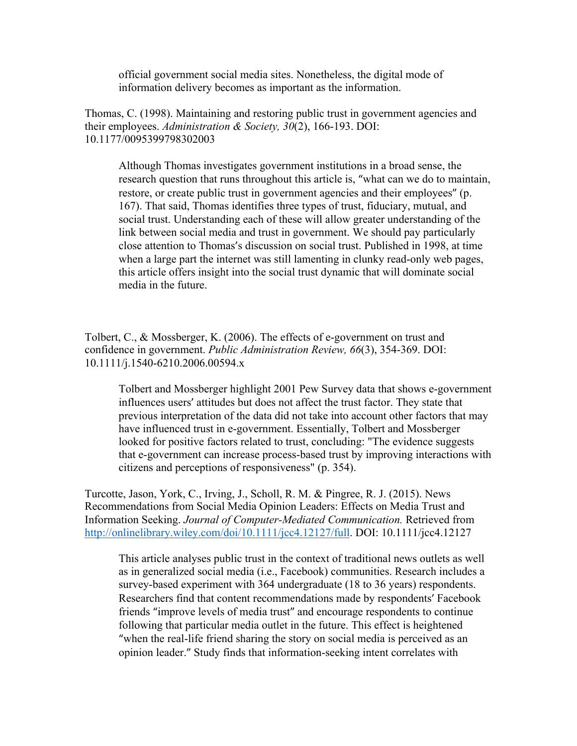official government social media sites. Nonetheless, the digital mode of information delivery becomes as important as the information.

Thomas, C. (1998). Maintaining and restoring public trust in government agencies and their employees. *Administration & Society, 30*(2), 166-193. DOI: 10.1177/0095399798302003

Although Thomas investigates government institutions in a broad sense, the research question that runs throughout this article is, "what can we do to maintain, restore, or create public trust in government agencies and their employees" (p. 167). That said, Thomas identifies three types of trust, fiduciary, mutual, and social trust. Understanding each of these will allow greater understanding of the link between social media and trust in government. We should pay particularly close attention to Thomas's discussion on social trust. Published in 1998, at time when a large part the internet was still lamenting in clunky read-only web pages, this article offers insight into the social trust dynamic that will dominate social media in the future.

Tolbert, C., & Mossberger, K. (2006). The effects of e-government on trust and confidence in government. *Public Administration Review, 66*(3), 354-369. DOI: 10.1111/j.1540-6210.2006.00594.x

Tolbert and Mossberger highlight 2001 Pew Survey data that shows e-government influences users' attitudes but does not affect the trust factor. They state that previous interpretation of the data did not take into account other factors that may have influenced trust in e-government. Essentially, Tolbert and Mossberger looked for positive factors related to trust, concluding: "The evidence suggests that e-government can increase process-based trust by improving interactions with citizens and perceptions of responsiveness" (p. 354).

Turcotte, Jason, York, C., Irving, J., Scholl, R. M. & Pingree, R. J. (2015). News Recommendations from Social Media Opinion Leaders: Effects on Media Trust and Information Seeking. *Journal of Computer-Mediated Communication.* Retrieved from http://onlinelibrary.wiley.com/doi/10.1111/jcc4.12127/full. DOI: 10.1111/jcc4.12127

This article analyses public trust in the context of traditional news outlets as well as in generalized social media (i.e., Facebook) communities. Research includes a survey-based experiment with 364 undergraduate (18 to 36 years) respondents. Researchers find that content recommendations made by respondents' Facebook friends "improve levels of media trust" and encourage respondents to continue following that particular media outlet in the future. This effect is heightened "when the real-life friend sharing the story on social media is perceived as an opinion leader." Study finds that information-seeking intent correlates with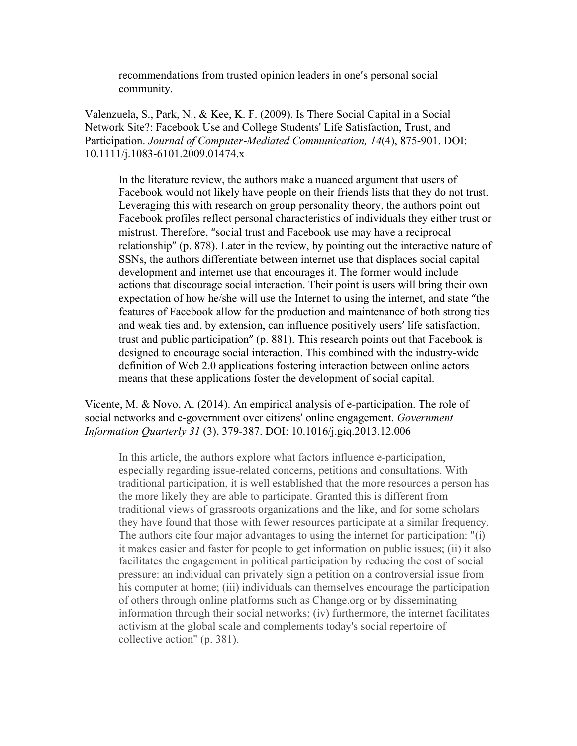recommendations from trusted opinion leaders in one's personal social community.

Valenzuela, S., Park, N., & Kee, K. F. (2009). Is There Social Capital in a Social Network Site?: Facebook Use and College Students' Life Satisfaction, Trust, and Participation. *Journal of Computer*-*Mediated Communication, 14*(4), 875-901. DOI: 10.1111/j.1083-6101.2009.01474.x

In the literature review, the authors make a nuanced argument that users of Facebook would not likely have people on their friends lists that they do not trust. Leveraging this with research on group personality theory, the authors point out Facebook profiles reflect personal characteristics of individuals they either trust or mistrust. Therefore, "social trust and Facebook use may have a reciprocal relationship" (p. 878). Later in the review, by pointing out the interactive nature of SSNs, the authors differentiate between internet use that displaces social capital development and internet use that encourages it. The former would include actions that discourage social interaction. Their point is users will bring their own expectation of how he/she will use the Internet to using the internet, and state "the features of Facebook allow for the production and maintenance of both strong ties and weak ties and, by extension, can influence positively users' life satisfaction, trust and public participation" (p. 881). This research points out that Facebook is designed to encourage social interaction. This combined with the industry-wide definition of Web 2.0 applications fostering interaction between online actors means that these applications foster the development of social capital.

Vicente, M. & Novo, A. (2014). An empirical analysis of e-participation. The role of social networks and e-government over citizens' online engagement. *Government Information Quarterly 31* (3), 379-387. DOI: 10.1016/j.giq.2013.12.006

In this article, the authors explore what factors influence e-participation, especially regarding issue-related concerns, petitions and consultations. With traditional participation, it is well established that the more resources a person has the more likely they are able to participate. Granted this is different from traditional views of grassroots organizations and the like, and for some scholars they have found that those with fewer resources participate at a similar frequency. The authors cite four major advantages to using the internet for participation: "(i) it makes easier and faster for people to get information on public issues; (ii) it also facilitates the engagement in political participation by reducing the cost of social pressure: an individual can privately sign a petition on a controversial issue from his computer at home; (iii) individuals can themselves encourage the participation of others through online platforms such as Change.org or by disseminating information through their social networks; (iv) furthermore, the internet facilitates activism at the global scale and complements today's social repertoire of collective action" (p. 381).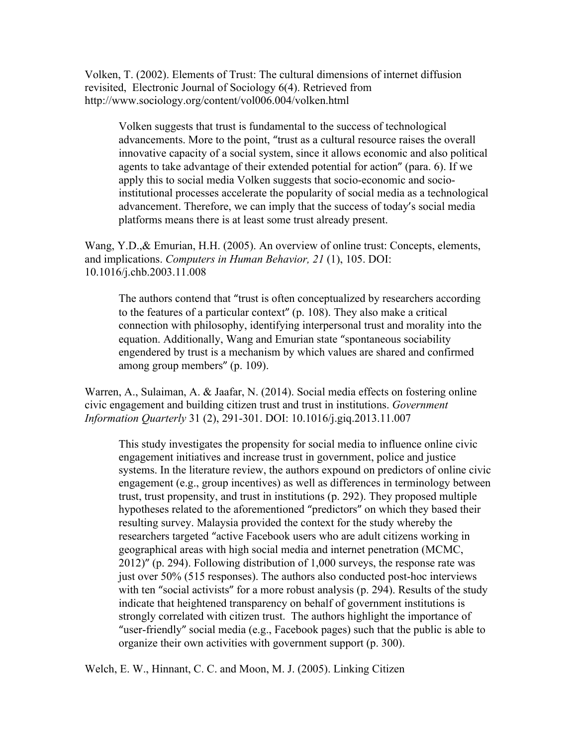Volken, T. (2002). Elements of Trust: The cultural dimensions of internet diffusion revisited, Electronic Journal of Sociology 6(4). Retrieved from http://www.sociology.org/content/vol006.004/volken.html

Volken suggests that trust is fundamental to the success of technological advancements. More to the point, "trust as a cultural resource raises the overall innovative capacity of a social system, since it allows economic and also political agents to take advantage of their extended potential for action" (para. 6). If we apply this to social media Volken suggests that socio-economic and socioinstitutional processes accelerate the popularity of social media as a technological advancement. Therefore, we can imply that the success of today's social media platforms means there is at least some trust already present.

Wang, Y.D.,& Emurian, H.H. (2005). An overview of online trust: Concepts, elements, and implications. *Computers in Human Behavior, 21* (1), 105. DOI: 10.1016/j.chb.2003.11.008

The authors contend that "trust is often conceptualized by researchers according to the features of a particular context"  $(p. 108)$ . They also make a critical connection with philosophy, identifying interpersonal trust and morality into the equation. Additionally, Wang and Emurian state "spontaneous sociability engendered by trust is a mechanism by which values are shared and confirmed among group members" (p. 109).

Warren, A., Sulaiman, A. & Jaafar, N. (2014). Social media effects on fostering online civic engagement and building citizen trust and trust in institutions. *Government Information Quarterly* 31 (2), 291-301. DOI: 10.1016/j.giq.2013.11.007

This study investigates the propensity for social media to influence online civic engagement initiatives and increase trust in government, police and justice systems. In the literature review, the authors expound on predictors of online civic engagement (e.g., group incentives) as well as differences in terminology between trust, trust propensity, and trust in institutions (p. 292). They proposed multiple hypotheses related to the aforementioned "predictors" on which they based their resulting survey. Malaysia provided the context for the study whereby the researchers targeted "active Facebook users who are adult citizens working in geographical areas with high social media and internet penetration (MCMC,  $2012$ )" (p. 294). Following distribution of 1,000 surveys, the response rate was just over 50% (515 responses). The authors also conducted post-hoc interviews with ten "social activists" for a more robust analysis (p. 294). Results of the study indicate that heightened transparency on behalf of government institutions is strongly correlated with citizen trust. The authors highlight the importance of "user-friendly" social media (e.g., Facebook pages) such that the public is able to organize their own activities with government support (p. 300).

Welch, E. W., Hinnant, C. C. and Moon, M. J. (2005). Linking Citizen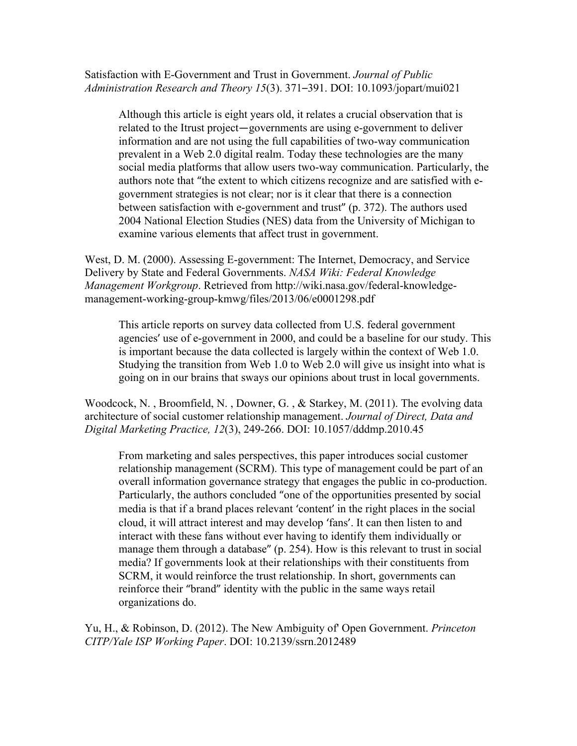## Satisfaction with E-Government and Trust in Government. *Journal of Public Administration Research and Theory 15*(3). 371–391. DOI: 10.1093/jopart/mui021

Although this article is eight years old, it relates a crucial observation that is related to the Itrust project—governments are using e-government to deliver information and are not using the full capabilities of two-way communication prevalent in a Web 2.0 digital realm. Today these technologies are the many social media platforms that allow users two-way communication. Particularly, the authors note that "the extent to which citizens recognize and are satisfied with egovernment strategies is not clear; nor is it clear that there is a connection between satisfaction with e-government and trust" (p. 372). The authors used 2004 National Election Studies (NES) data from the University of Michigan to examine various elements that affect trust in government.

West, D. M. (2000). Assessing E-government: The Internet, Democracy, and Service Delivery by State and Federal Governments. *NASA Wiki: Federal Knowledge Management Workgroup*. Retrieved from http://wiki.nasa.gov/federal-knowledgemanagement-working-group-kmwg/files/2013/06/e0001298.pdf

This article reports on survey data collected from U.S. federal government agencies' use of e-government in 2000, and could be a baseline for our study. This is important because the data collected is largely within the context of Web 1.0. Studying the transition from Web 1.0 to Web 2.0 will give us insight into what is going on in our brains that sways our opinions about trust in local governments.

Woodcock, N. , Broomfield, N. , Downer, G. , & Starkey, M. (2011). The evolving data architecture of social customer relationship management. *Journal of Direct, Data and Digital Marketing Practice, 12*(3), 249-266. DOI: 10.1057/dddmp.2010.45

From marketing and sales perspectives, this paper introduces social customer relationship management (SCRM). This type of management could be part of an overall information governance strategy that engages the public in co-production. Particularly, the authors concluded "one of the opportunities presented by social media is that if a brand places relevant 'content' in the right places in the social cloud, it will attract interest and may develop 'fans'. It can then listen to and interact with these fans without ever having to identify them individually or manage them through a database" (p. 254). How is this relevant to trust in social media? If governments look at their relationships with their constituents from SCRM, it would reinforce the trust relationship. In short, governments can reinforce their "brand" identity with the public in the same ways retail organizations do.

Yu, H., & Robinson, D. (2012). The New Ambiguity of' Open Government. *Princeton CITP/Yale ISP Working Paper*. DOI: 10.2139/ssrn.2012489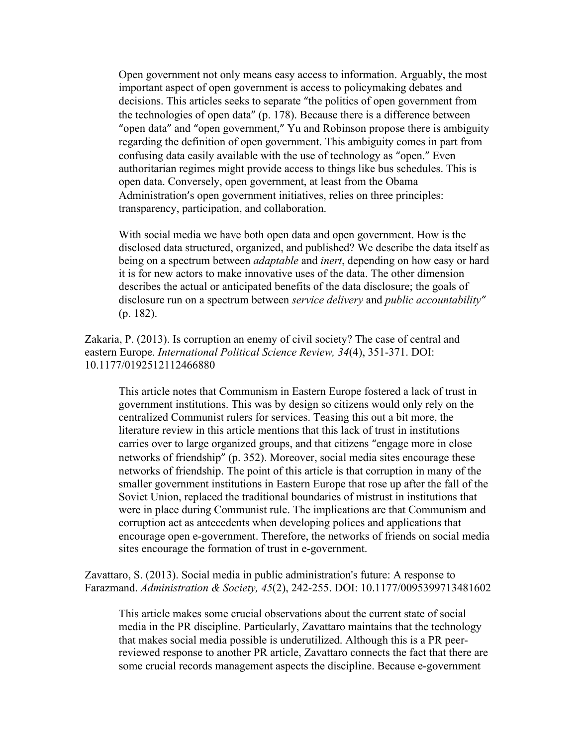Open government not only means easy access to information. Arguably, the most important aspect of open government is access to policymaking debates and decisions. This articles seeks to separate "the politics of open government from the technologies of open data" (p. 178). Because there is a difference between "open data" and "open government," Yu and Robinson propose there is ambiguity regarding the definition of open government. This ambiguity comes in part from confusing data easily available with the use of technology as "open." Even authoritarian regimes might provide access to things like bus schedules. This is open data. Conversely, open government, at least from the Obama Administration's open government initiatives, relies on three principles: transparency, participation, and collaboration.

With social media we have both open data and open government. How is the disclosed data structured, organized, and published? We describe the data itself as being on a spectrum between *adaptable* and *inert*, depending on how easy or hard it is for new actors to make innovative uses of the data. The other dimension describes the actual or anticipated benefits of the data disclosure; the goals of disclosure run on a spectrum between *service delivery* and *public accountability"* (p. 182).

Zakaria, P. (2013). Is corruption an enemy of civil society? The case of central and eastern Europe. *International Political Science Review, 34*(4), 351-371. DOI: 10.1177/0192512112466880

This article notes that Communism in Eastern Europe fostered a lack of trust in government institutions. This was by design so citizens would only rely on the centralized Communist rulers for services. Teasing this out a bit more, the literature review in this article mentions that this lack of trust in institutions carries over to large organized groups, and that citizens "engage more in close networks of friendship" (p. 352). Moreover, social media sites encourage these networks of friendship. The point of this article is that corruption in many of the smaller government institutions in Eastern Europe that rose up after the fall of the Soviet Union, replaced the traditional boundaries of mistrust in institutions that were in place during Communist rule. The implications are that Communism and corruption act as antecedents when developing polices and applications that encourage open e-government. Therefore, the networks of friends on social media sites encourage the formation of trust in e-government.

Zavattaro, S. (2013). Social media in public administration's future: A response to Farazmand. *Administration & Society, 45*(2), 242-255. DOI: 10.1177/0095399713481602

This article makes some crucial observations about the current state of social media in the PR discipline. Particularly, Zavattaro maintains that the technology that makes social media possible is underutilized. Although this is a PR peerreviewed response to another PR article, Zavattaro connects the fact that there are some crucial records management aspects the discipline. Because e-government